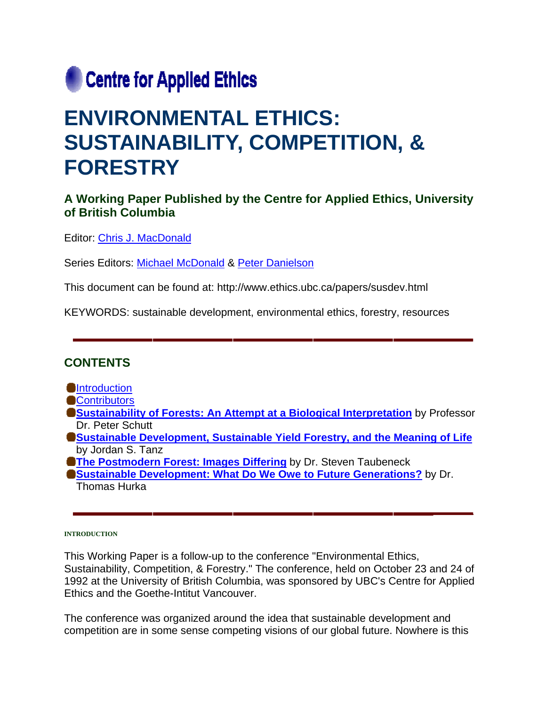

# **ENVIRONMENTAL ETHICS: SUSTAINABILITY, COMPETITION, & FORESTRY**

# **A Working Paper Published by the Centre for Applied Ethics, University of British Columbia**

Editor: Chris J. MacDonald

Series Editors: Michael McDonald & Peter Danielson

This document can be found at: http://www.ethics.ubc.ca/papers/susdev.html

KEYWORDS: sustainable development, environmental ethics, forestry, resources

# **CONTENTS**

**Ontroduction** 

**Contributors** 

- **Sustainability of Forests: An Attempt at a Biological Interpretation** by Professor Dr. Peter Schutt
- **Sustainable Development, Sustainable Yield Forestry, and the Meaning of Life** by Jordan S. Tanz
- **The Postmodern Forest: Images Differing** by Dr. Steven Taubeneck
- **Sustainable Development: What Do We Owe to Future Generations?** by Dr. Thomas Hurka

#### **INTRODUCTION**

This Working Paper is a follow-up to the conference "Environmental Ethics, Sustainability, Competition, & Forestry." The conference, held on October 23 and 24 of 1992 at the University of British Columbia, was sponsored by UBC's Centre for Applied Ethics and the Goethe-Intitut Vancouver.

The conference was organized around the idea that sustainable development and competition are in some sense competing visions of our global future. Nowhere is this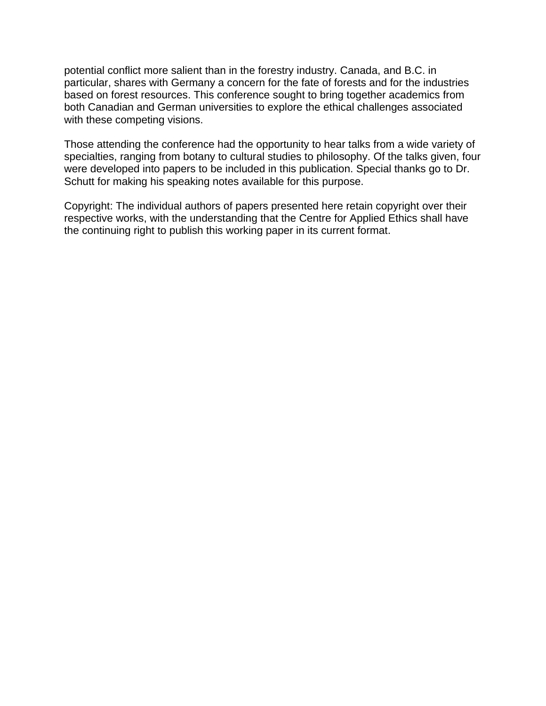potential conflict more salient than in the forestry industry. Canada, and B.C. in particular, shares with Germany a concern for the fate of forests and for the industries based on forest resources. This conference sought to bring together academics from both Canadian and German universities to explore the ethical challenges associated with these competing visions.

Those attending the conference had the opportunity to hear talks from a wide variety of specialties, ranging from botany to cultural studies to philosophy. Of the talks given, four were developed into papers to be included in this publication. Special thanks go to Dr. Schutt for making his speaking notes available for this purpose.

Copyright: The individual authors of papers presented here retain copyright over their respective works, with the understanding that the Centre for Applied Ethics shall have the continuing right to publish this working paper in its current format.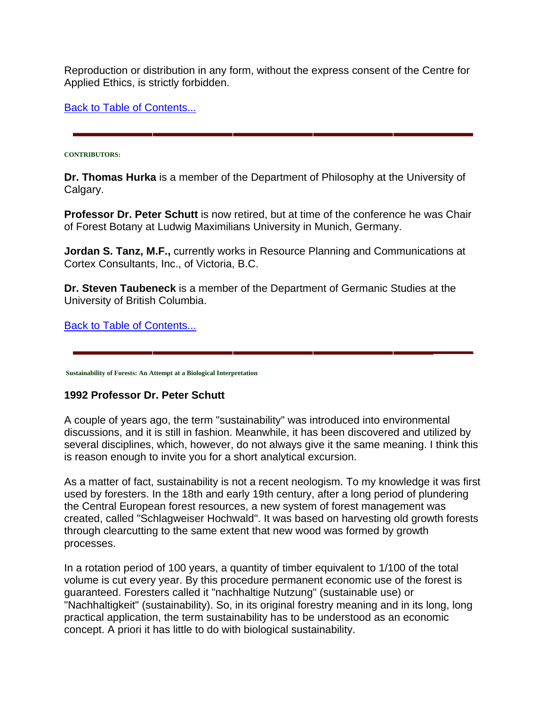Reproduction or distribution in any form, without the express consent of the Centre for Applied Ethics, is strictly forbidden.

Back to Table of Contents...

#### **CONTRIBUTORS:**

**Dr. Thomas Hurka** is a member of the Department of Philosophy at the University of Calgary.

**Professor Dr. Peter Schutt** is now retired, but at time of the conference he was Chair of Forest Botany at Ludwig Maximilians University in Munich, Germany.

**Jordan S. Tanz, M.F.,** currently works in Resource Planning and Communications at Cortex Consultants, Inc., of Victoria, B.C.

**Dr. Steven Taubeneck** is a member of the Department of Germanic Studies at the University of British Columbia.

Back to Table of Contents...

 **Sustainability of Forests: An Attempt at a Biological Interpretation**

# **1992 Professor Dr. Peter Schutt**

A couple of years ago, the term "sustainability" was introduced into environmental discussions, and it is still in fashion. Meanwhile, it has been discovered and utilized by several disciplines, which, however, do not always give it the same meaning. I think this is reason enough to invite you for a short analytical excursion.

As a matter of fact, sustainability is not a recent neologism. To my knowledge it was first used by foresters. In the 18th and early 19th century, after a long period of plundering the Central European forest resources, a new system of forest management was created, called "Schlagweiser Hochwald". It was based on harvesting old growth forests through clearcutting to the same extent that new wood was formed by growth processes.

In a rotation period of 100 years, a quantity of timber equivalent to 1/100 of the total volume is cut every year. By this procedure permanent economic use of the forest is guaranteed. Foresters called it "nachhaltige Nutzung" (sustainable use) or "Nachhaltigkeit" (sustainability). So, in its original forestry meaning and in its long, long practical application, the term sustainability has to be understood as an economic concept. A priori it has little to do with biological sustainability.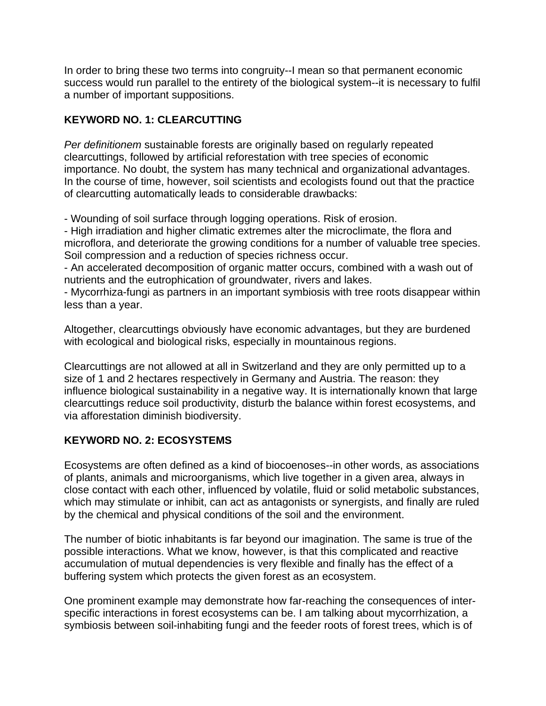In order to bring these two terms into congruity--I mean so that permanent economic success would run parallel to the entirety of the biological system--it is necessary to fulfil a number of important suppositions.

# **KEYWORD NO. 1: CLEARCUTTING**

*Per definitionem* sustainable forests are originally based on regularly repeated clearcuttings, followed by artificial reforestation with tree species of economic importance. No doubt, the system has many technical and organizational advantages. In the course of time, however, soil scientists and ecologists found out that the practice of clearcutting automatically leads to considerable drawbacks:

- Wounding of soil surface through logging operations. Risk of erosion.

- High irradiation and higher climatic extremes alter the microclimate, the flora and microflora, and deteriorate the growing conditions for a number of valuable tree species. Soil compression and a reduction of species richness occur.

- An accelerated decomposition of organic matter occurs, combined with a wash out of nutrients and the eutrophication of groundwater, rivers and lakes.

- Mycorrhiza-fungi as partners in an important symbiosis with tree roots disappear within less than a year.

Altogether, clearcuttings obviously have economic advantages, but they are burdened with ecological and biological risks, especially in mountainous regions.

Clearcuttings are not allowed at all in Switzerland and they are only permitted up to a size of 1 and 2 hectares respectively in Germany and Austria. The reason: they influence biological sustainability in a negative way. It is internationally known that large clearcuttings reduce soil productivity, disturb the balance within forest ecosystems, and via afforestation diminish biodiversity.

# **KEYWORD NO. 2: ECOSYSTEMS**

Ecosystems are often defined as a kind of biocoenoses--in other words, as associations of plants, animals and microorganisms, which live together in a given area, always in close contact with each other, influenced by volatile, fluid or solid metabolic substances, which may stimulate or inhibit, can act as antagonists or synergists, and finally are ruled by the chemical and physical conditions of the soil and the environment.

The number of biotic inhabitants is far beyond our imagination. The same is true of the possible interactions. What we know, however, is that this complicated and reactive accumulation of mutual dependencies is very flexible and finally has the effect of a buffering system which protects the given forest as an ecosystem.

One prominent example may demonstrate how far-reaching the consequences of interspecific interactions in forest ecosystems can be. I am talking about mycorrhization, a symbiosis between soil-inhabiting fungi and the feeder roots of forest trees, which is of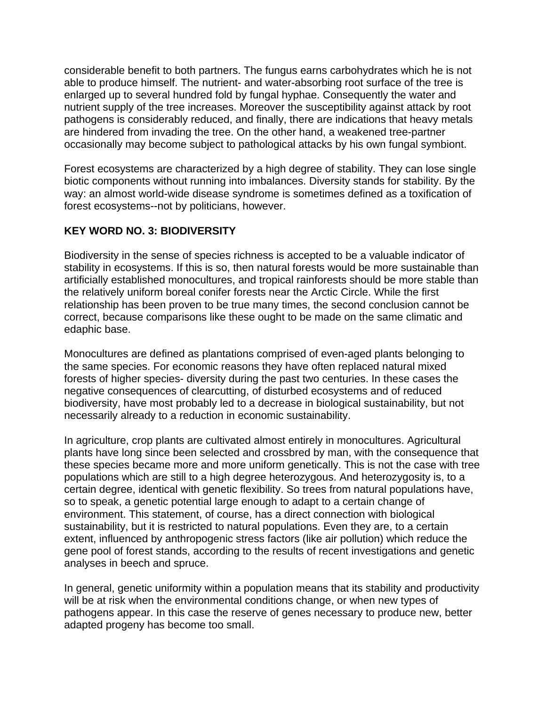considerable benefit to both partners. The fungus earns carbohydrates which he is not able to produce himself. The nutrient- and water-absorbing root surface of the tree is enlarged up to several hundred fold by fungal hyphae. Consequently the water and nutrient supply of the tree increases. Moreover the susceptibility against attack by root pathogens is considerably reduced, and finally, there are indications that heavy metals are hindered from invading the tree. On the other hand, a weakened tree-partner occasionally may become subject to pathological attacks by his own fungal symbiont.

Forest ecosystems are characterized by a high degree of stability. They can lose single biotic components without running into imbalances. Diversity stands for stability. By the way: an almost world-wide disease syndrome is sometimes defined as a toxification of forest ecosystems--not by politicians, however.

# **KEY WORD NO. 3: BIODIVERSITY**

Biodiversity in the sense of species richness is accepted to be a valuable indicator of stability in ecosystems. If this is so, then natural forests would be more sustainable than artificially established monocultures, and tropical rainforests should be more stable than the relatively uniform boreal conifer forests near the Arctic Circle. While the first relationship has been proven to be true many times, the second conclusion cannot be correct, because comparisons like these ought to be made on the same climatic and edaphic base.

Monocultures are defined as plantations comprised of even-aged plants belonging to the same species. For economic reasons they have often replaced natural mixed forests of higher species- diversity during the past two centuries. In these cases the negative consequences of clearcutting, of disturbed ecosystems and of reduced biodiversity, have most probably led to a decrease in biological sustainability, but not necessarily already to a reduction in economic sustainability.

In agriculture, crop plants are cultivated almost entirely in monocultures. Agricultural plants have long since been selected and crossbred by man, with the consequence that these species became more and more uniform genetically. This is not the case with tree populations which are still to a high degree heterozygous. And heterozygosity is, to a certain degree, identical with genetic flexibility. So trees from natural populations have, so to speak, a genetic potential large enough to adapt to a certain change of environment. This statement, of course, has a direct connection with biological sustainability, but it is restricted to natural populations. Even they are, to a certain extent, influenced by anthropogenic stress factors (like air pollution) which reduce the gene pool of forest stands, according to the results of recent investigations and genetic analyses in beech and spruce.

In general, genetic uniformity within a population means that its stability and productivity will be at risk when the environmental conditions change, or when new types of pathogens appear. In this case the reserve of genes necessary to produce new, better adapted progeny has become too small.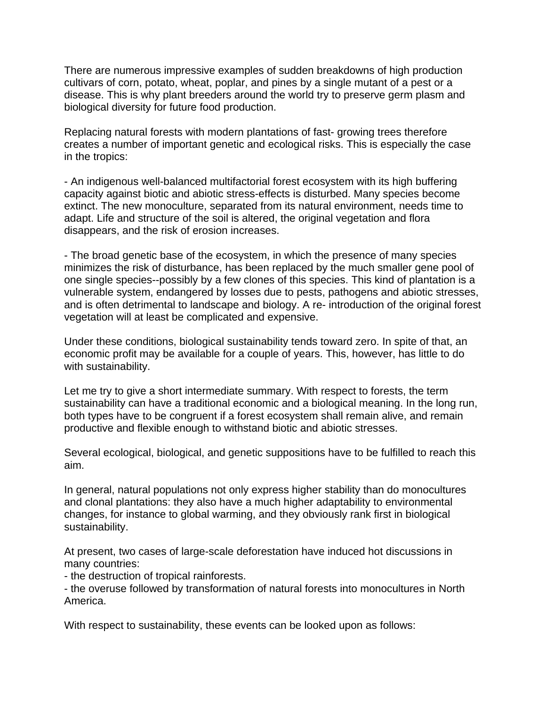There are numerous impressive examples of sudden breakdowns of high production cultivars of corn, potato, wheat, poplar, and pines by a single mutant of a pest or a disease. This is why plant breeders around the world try to preserve germ plasm and biological diversity for future food production.

Replacing natural forests with modern plantations of fast- growing trees therefore creates a number of important genetic and ecological risks. This is especially the case in the tropics:

- An indigenous well-balanced multifactorial forest ecosystem with its high buffering capacity against biotic and abiotic stress-effects is disturbed. Many species become extinct. The new monoculture, separated from its natural environment, needs time to adapt. Life and structure of the soil is altered, the original vegetation and flora disappears, and the risk of erosion increases.

- The broad genetic base of the ecosystem, in which the presence of many species minimizes the risk of disturbance, has been replaced by the much smaller gene pool of one single species--possibly by a few clones of this species. This kind of plantation is a vulnerable system, endangered by losses due to pests, pathogens and abiotic stresses, and is often detrimental to landscape and biology. A re- introduction of the original forest vegetation will at least be complicated and expensive.

Under these conditions, biological sustainability tends toward zero. In spite of that, an economic profit may be available for a couple of years. This, however, has little to do with sustainability.

Let me try to give a short intermediate summary. With respect to forests, the term sustainability can have a traditional economic and a biological meaning. In the long run, both types have to be congruent if a forest ecosystem shall remain alive, and remain productive and flexible enough to withstand biotic and abiotic stresses.

Several ecological, biological, and genetic suppositions have to be fulfilled to reach this aim.

In general, natural populations not only express higher stability than do monocultures and clonal plantations: they also have a much higher adaptability to environmental changes, for instance to global warming, and they obviously rank first in biological sustainability.

At present, two cases of large-scale deforestation have induced hot discussions in many countries:

- the destruction of tropical rainforests.

- the overuse followed by transformation of natural forests into monocultures in North America.

With respect to sustainability, these events can be looked upon as follows: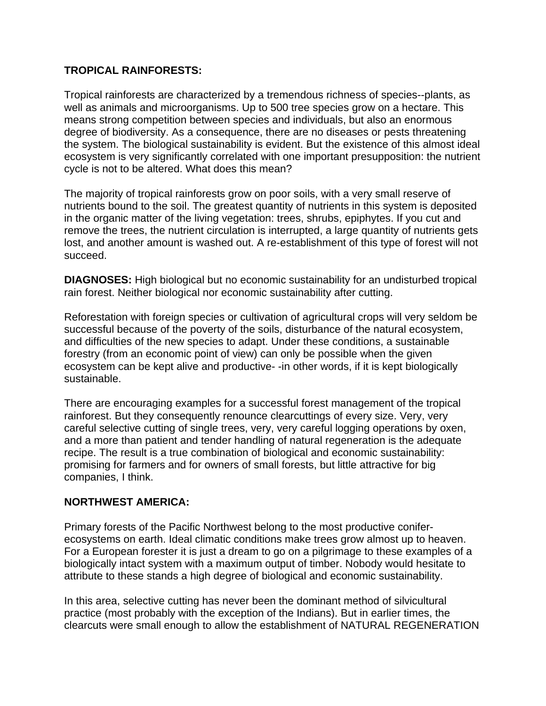## **TROPICAL RAINFORESTS:**

Tropical rainforests are characterized by a tremendous richness of species--plants, as well as animals and microorganisms. Up to 500 tree species grow on a hectare. This means strong competition between species and individuals, but also an enormous degree of biodiversity. As a consequence, there are no diseases or pests threatening the system. The biological sustainability is evident. But the existence of this almost ideal ecosystem is very significantly correlated with one important presupposition: the nutrient cycle is not to be altered. What does this mean?

The majority of tropical rainforests grow on poor soils, with a very small reserve of nutrients bound to the soil. The greatest quantity of nutrients in this system is deposited in the organic matter of the living vegetation: trees, shrubs, epiphytes. If you cut and remove the trees, the nutrient circulation is interrupted, a large quantity of nutrients gets lost, and another amount is washed out. A re-establishment of this type of forest will not succeed.

**DIAGNOSES:** High biological but no economic sustainability for an undisturbed tropical rain forest. Neither biological nor economic sustainability after cutting.

Reforestation with foreign species or cultivation of agricultural crops will very seldom be successful because of the poverty of the soils, disturbance of the natural ecosystem, and difficulties of the new species to adapt. Under these conditions, a sustainable forestry (from an economic point of view) can only be possible when the given ecosystem can be kept alive and productive- -in other words, if it is kept biologically sustainable.

There are encouraging examples for a successful forest management of the tropical rainforest. But they consequently renounce clearcuttings of every size. Very, very careful selective cutting of single trees, very, very careful logging operations by oxen, and a more than patient and tender handling of natural regeneration is the adequate recipe. The result is a true combination of biological and economic sustainability: promising for farmers and for owners of small forests, but little attractive for big companies, I think.

# **NORTHWEST AMERICA:**

Primary forests of the Pacific Northwest belong to the most productive coniferecosystems on earth. Ideal climatic conditions make trees grow almost up to heaven. For a European forester it is just a dream to go on a pilgrimage to these examples of a biologically intact system with a maximum output of timber. Nobody would hesitate to attribute to these stands a high degree of biological and economic sustainability.

In this area, selective cutting has never been the dominant method of silvicultural practice (most probably with the exception of the Indians). But in earlier times, the clearcuts were small enough to allow the establishment of NATURAL REGENERATION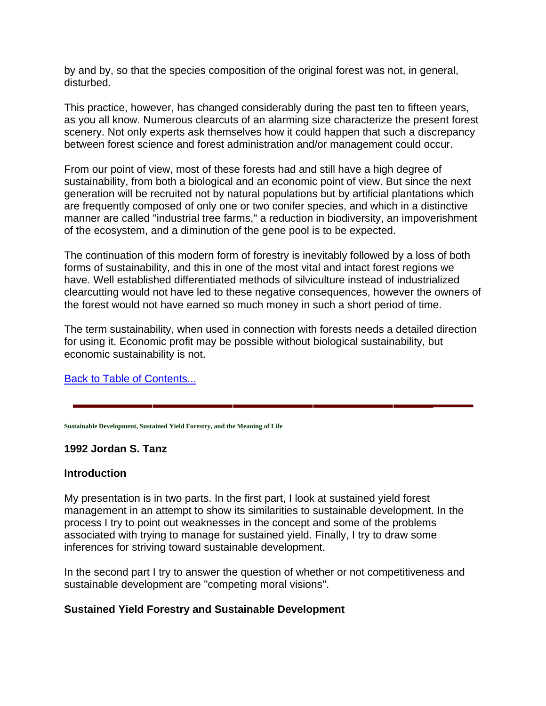by and by, so that the species composition of the original forest was not, in general, disturbed.

This practice, however, has changed considerably during the past ten to fifteen years, as you all know. Numerous clearcuts of an alarming size characterize the present forest scenery. Not only experts ask themselves how it could happen that such a discrepancy between forest science and forest administration and/or management could occur.

From our point of view, most of these forests had and still have a high degree of sustainability, from both a biological and an economic point of view. But since the next generation will be recruited not by natural populations but by artificial plantations which are frequently composed of only one or two conifer species, and which in a distinctive manner are called "industrial tree farms," a reduction in biodiversity, an impoverishment of the ecosystem, and a diminution of the gene pool is to be expected.

The continuation of this modern form of forestry is inevitably followed by a loss of both forms of sustainability, and this in one of the most vital and intact forest regions we have. Well established differentiated methods of silviculture instead of industrialized clearcutting would not have led to these negative consequences, however the owners of the forest would not have earned so much money in such a short period of time.

The term sustainability, when used in connection with forests needs a detailed direction for using it. Economic profit may be possible without biological sustainability, but economic sustainability is not.

Back to Table of Contents...

**Sustainable Development, Sustained Yield Forestry, and the Meaning of Life**

#### **1992 Jordan S. Tanz**

#### **Introduction**

My presentation is in two parts. In the first part, I look at sustained yield forest management in an attempt to show its similarities to sustainable development. In the process I try to point out weaknesses in the concept and some of the problems associated with trying to manage for sustained yield. Finally, I try to draw some inferences for striving toward sustainable development.

In the second part I try to answer the question of whether or not competitiveness and sustainable development are "competing moral visions".

#### **Sustained Yield Forestry and Sustainable Development**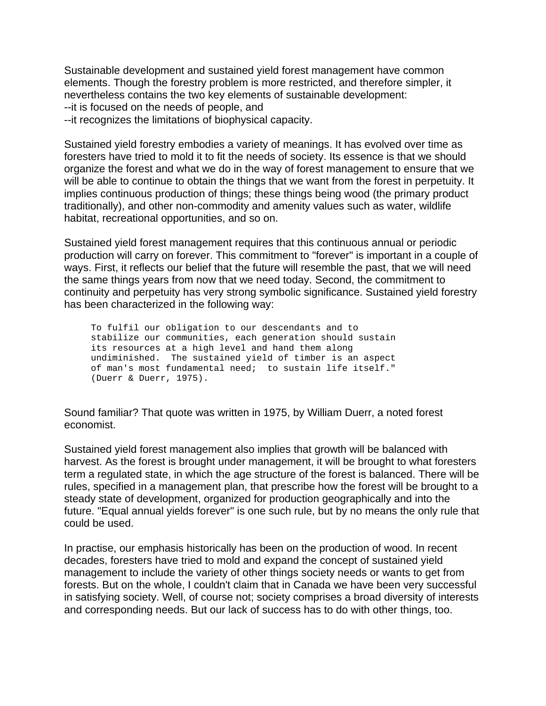Sustainable development and sustained yield forest management have common elements. Though the forestry problem is more restricted, and therefore simpler, it nevertheless contains the two key elements of sustainable development:

--it is focused on the needs of people, and

--it recognizes the limitations of biophysical capacity.

Sustained yield forestry embodies a variety of meanings. It has evolved over time as foresters have tried to mold it to fit the needs of society. Its essence is that we should organize the forest and what we do in the way of forest management to ensure that we will be able to continue to obtain the things that we want from the forest in perpetuity. It implies continuous production of things; these things being wood (the primary product traditionally), and other non-commodity and amenity values such as water, wildlife habitat, recreational opportunities, and so on.

Sustained yield forest management requires that this continuous annual or periodic production will carry on forever. This commitment to "forever" is important in a couple of ways. First, it reflects our belief that the future will resemble the past, that we will need the same things years from now that we need today. Second, the commitment to continuity and perpetuity has very strong symbolic significance. Sustained yield forestry has been characterized in the following way:

 To fulfil our obligation to our descendants and to stabilize our communities, each generation should sustain its resources at a high level and hand them along undiminished. The sustained yield of timber is an aspect of man's most fundamental need; to sustain life itself." (Duerr & Duerr, 1975).

Sound familiar? That quote was written in 1975, by William Duerr, a noted forest economist.

Sustained yield forest management also implies that growth will be balanced with harvest. As the forest is brought under management, it will be brought to what foresters term a regulated state, in which the age structure of the forest is balanced. There will be rules, specified in a management plan, that prescribe how the forest will be brought to a steady state of development, organized for production geographically and into the future. "Equal annual yields forever" is one such rule, but by no means the only rule that could be used.

In practise, our emphasis historically has been on the production of wood. In recent decades, foresters have tried to mold and expand the concept of sustained yield management to include the variety of other things society needs or wants to get from forests. But on the whole, I couldn't claim that in Canada we have been very successful in satisfying society. Well, of course not; society comprises a broad diversity of interests and corresponding needs. But our lack of success has to do with other things, too.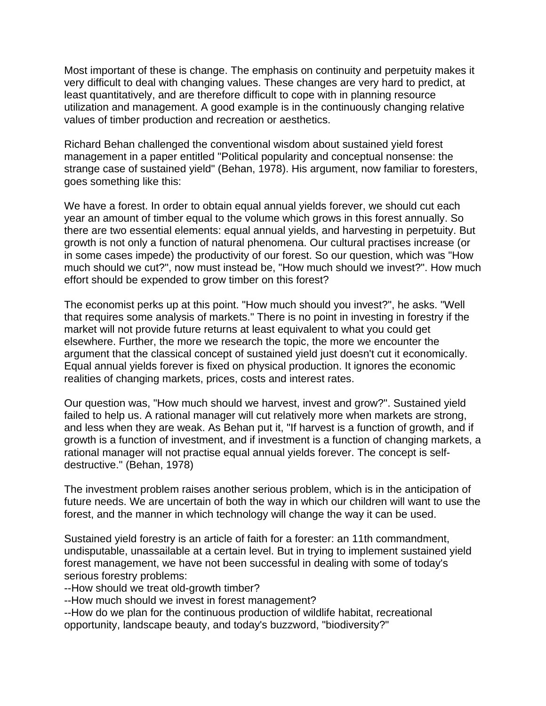Most important of these is change. The emphasis on continuity and perpetuity makes it very difficult to deal with changing values. These changes are very hard to predict, at least quantitatively, and are therefore difficult to cope with in planning resource utilization and management. A good example is in the continuously changing relative values of timber production and recreation or aesthetics.

Richard Behan challenged the conventional wisdom about sustained yield forest management in a paper entitled "Political popularity and conceptual nonsense: the strange case of sustained yield" (Behan, 1978). His argument, now familiar to foresters, goes something like this:

We have a forest. In order to obtain equal annual yields forever, we should cut each year an amount of timber equal to the volume which grows in this forest annually. So there are two essential elements: equal annual yields, and harvesting in perpetuity. But growth is not only a function of natural phenomena. Our cultural practises increase (or in some cases impede) the productivity of our forest. So our question, which was "How much should we cut?", now must instead be, "How much should we invest?". How much effort should be expended to grow timber on this forest?

The economist perks up at this point. "How much should you invest?", he asks. "Well that requires some analysis of markets." There is no point in investing in forestry if the market will not provide future returns at least equivalent to what you could get elsewhere. Further, the more we research the topic, the more we encounter the argument that the classical concept of sustained yield just doesn't cut it economically. Equal annual yields forever is fixed on physical production. It ignores the economic realities of changing markets, prices, costs and interest rates.

Our question was, "How much should we harvest, invest and grow?". Sustained yield failed to help us. A rational manager will cut relatively more when markets are strong, and less when they are weak. As Behan put it, "If harvest is a function of growth, and if growth is a function of investment, and if investment is a function of changing markets, a rational manager will not practise equal annual yields forever. The concept is selfdestructive." (Behan, 1978)

The investment problem raises another serious problem, which is in the anticipation of future needs. We are uncertain of both the way in which our children will want to use the forest, and the manner in which technology will change the way it can be used.

Sustained yield forestry is an article of faith for a forester: an 11th commandment, undisputable, unassailable at a certain level. But in trying to implement sustained yield forest management, we have not been successful in dealing with some of today's serious forestry problems:

--How should we treat old-growth timber?

--How much should we invest in forest management?

--How do we plan for the continuous production of wildlife habitat, recreational opportunity, landscape beauty, and today's buzzword, "biodiversity?"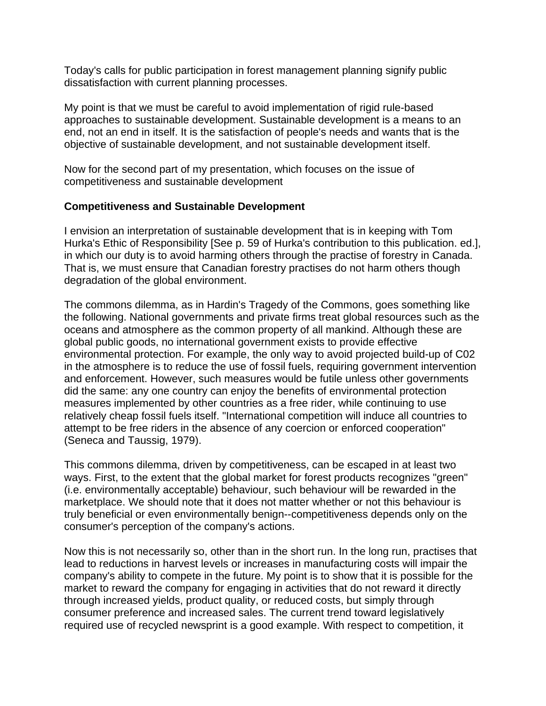Today's calls for public participation in forest management planning signify public dissatisfaction with current planning processes.

My point is that we must be careful to avoid implementation of rigid rule-based approaches to sustainable development. Sustainable development is a means to an end, not an end in itself. It is the satisfaction of people's needs and wants that is the objective of sustainable development, and not sustainable development itself.

Now for the second part of my presentation, which focuses on the issue of competitiveness and sustainable development

#### **Competitiveness and Sustainable Development**

I envision an interpretation of sustainable development that is in keeping with Tom Hurka's Ethic of Responsibility [See p. 59 of Hurka's contribution to this publication. ed.], in which our duty is to avoid harming others through the practise of forestry in Canada. That is, we must ensure that Canadian forestry practises do not harm others though degradation of the global environment.

The commons dilemma, as in Hardin's Tragedy of the Commons, goes something like the following. National governments and private firms treat global resources such as the oceans and atmosphere as the common property of all mankind. Although these are global public goods, no international government exists to provide effective environmental protection. For example, the only way to avoid projected build-up of C02 in the atmosphere is to reduce the use of fossil fuels, requiring government intervention and enforcement. However, such measures would be futile unless other governments did the same: any one country can enjoy the benefits of environmental protection measures implemented by other countries as a free rider, while continuing to use relatively cheap fossil fuels itself. "International competition will induce all countries to attempt to be free riders in the absence of any coercion or enforced cooperation" (Seneca and Taussig, 1979).

This commons dilemma, driven by competitiveness, can be escaped in at least two ways. First, to the extent that the global market for forest products recognizes "green" (i.e. environmentally acceptable) behaviour, such behaviour will be rewarded in the marketplace. We should note that it does not matter whether or not this behaviour is truly beneficial or even environmentally benign--competitiveness depends only on the consumer's perception of the company's actions.

Now this is not necessarily so, other than in the short run. In the long run, practises that lead to reductions in harvest levels or increases in manufacturing costs will impair the company's ability to compete in the future. My point is to show that it is possible for the market to reward the company for engaging in activities that do not reward it directly through increased yields, product quality, or reduced costs, but simply through consumer preference and increased sales. The current trend toward legislatively required use of recycled newsprint is a good example. With respect to competition, it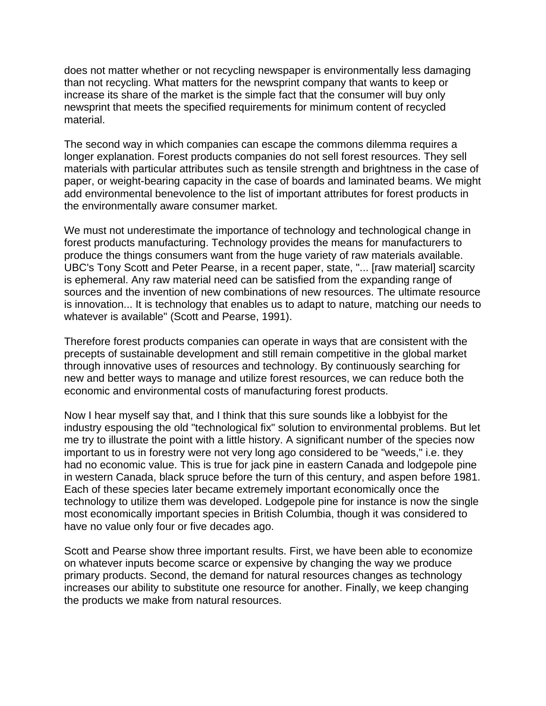does not matter whether or not recycling newspaper is environmentally less damaging than not recycling. What matters for the newsprint company that wants to keep or increase its share of the market is the simple fact that the consumer will buy only newsprint that meets the specified requirements for minimum content of recycled material.

The second way in which companies can escape the commons dilemma requires a longer explanation. Forest products companies do not sell forest resources. They sell materials with particular attributes such as tensile strength and brightness in the case of paper, or weight-bearing capacity in the case of boards and laminated beams. We might add environmental benevolence to the list of important attributes for forest products in the environmentally aware consumer market.

We must not underestimate the importance of technology and technological change in forest products manufacturing. Technology provides the means for manufacturers to produce the things consumers want from the huge variety of raw materials available. UBC's Tony Scott and Peter Pearse, in a recent paper, state, "... [raw material] scarcity is ephemeral. Any raw material need can be satisfied from the expanding range of sources and the invention of new combinations of new resources. The ultimate resource is innovation... It is technology that enables us to adapt to nature, matching our needs to whatever is available" (Scott and Pearse, 1991).

Therefore forest products companies can operate in ways that are consistent with the precepts of sustainable development and still remain competitive in the global market through innovative uses of resources and technology. By continuously searching for new and better ways to manage and utilize forest resources, we can reduce both the economic and environmental costs of manufacturing forest products.

Now I hear myself say that, and I think that this sure sounds like a lobbyist for the industry espousing the old "technological fix" solution to environmental problems. But let me try to illustrate the point with a little history. A significant number of the species now important to us in forestry were not very long ago considered to be "weeds," i.e. they had no economic value. This is true for jack pine in eastern Canada and lodgepole pine in western Canada, black spruce before the turn of this century, and aspen before 1981. Each of these species later became extremely important economically once the technology to utilize them was developed. Lodgepole pine for instance is now the single most economically important species in British Columbia, though it was considered to have no value only four or five decades ago.

Scott and Pearse show three important results. First, we have been able to economize on whatever inputs become scarce or expensive by changing the way we produce primary products. Second, the demand for natural resources changes as technology increases our ability to substitute one resource for another. Finally, we keep changing the products we make from natural resources.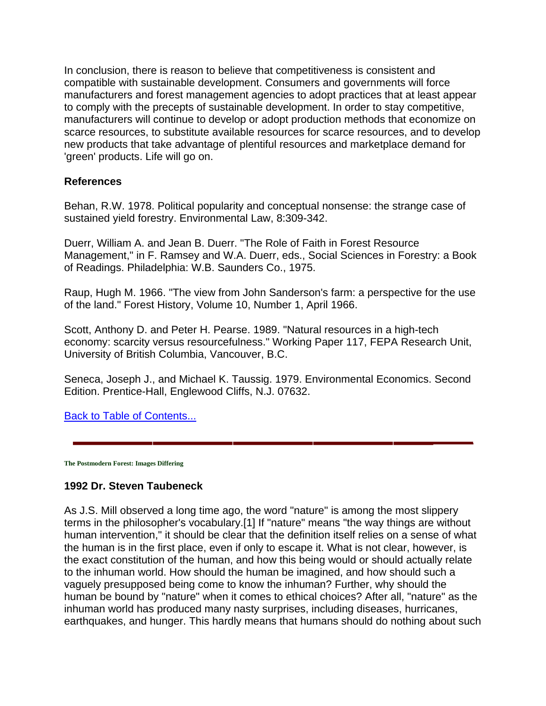In conclusion, there is reason to believe that competitiveness is consistent and compatible with sustainable development. Consumers and governments will force manufacturers and forest management agencies to adopt practices that at least appear to comply with the precepts of sustainable development. In order to stay competitive, manufacturers will continue to develop or adopt production methods that economize on scarce resources, to substitute available resources for scarce resources, and to develop new products that take advantage of plentiful resources and marketplace demand for 'green' products. Life will go on.

#### **References**

Behan, R.W. 1978. Political popularity and conceptual nonsense: the strange case of sustained yield forestry. Environmental Law, 8:309-342.

Duerr, William A. and Jean B. Duerr. "The Role of Faith in Forest Resource Management," in F. Ramsey and W.A. Duerr, eds., Social Sciences in Forestry: a Book of Readings. Philadelphia: W.B. Saunders Co., 1975.

Raup, Hugh M. 1966. "The view from John Sanderson's farm: a perspective for the use of the land." Forest History, Volume 10, Number 1, April 1966.

Scott, Anthony D. and Peter H. Pearse. 1989. "Natural resources in a high-tech economy: scarcity versus resourcefulness." Working Paper 117, FEPA Research Unit, University of British Columbia, Vancouver, B.C.

Seneca, Joseph J., and Michael K. Taussig. 1979. Environmental Economics. Second Edition. Prentice-Hall, Englewood Cliffs, N.J. 07632.

Back to Table of Contents...

**The Postmodern Forest: Images Differing**

#### **1992 Dr. Steven Taubeneck**

As J.S. Mill observed a long time ago, the word "nature" is among the most slippery terms in the philosopher's vocabulary.[1] If "nature" means "the way things are without human intervention," it should be clear that the definition itself relies on a sense of what the human is in the first place, even if only to escape it. What is not clear, however, is the exact constitution of the human, and how this being would or should actually relate to the inhuman world. How should the human be imagined, and how should such a vaguely presupposed being come to know the inhuman? Further, why should the human be bound by "nature" when it comes to ethical choices? After all, "nature" as the inhuman world has produced many nasty surprises, including diseases, hurricanes, earthquakes, and hunger. This hardly means that humans should do nothing about such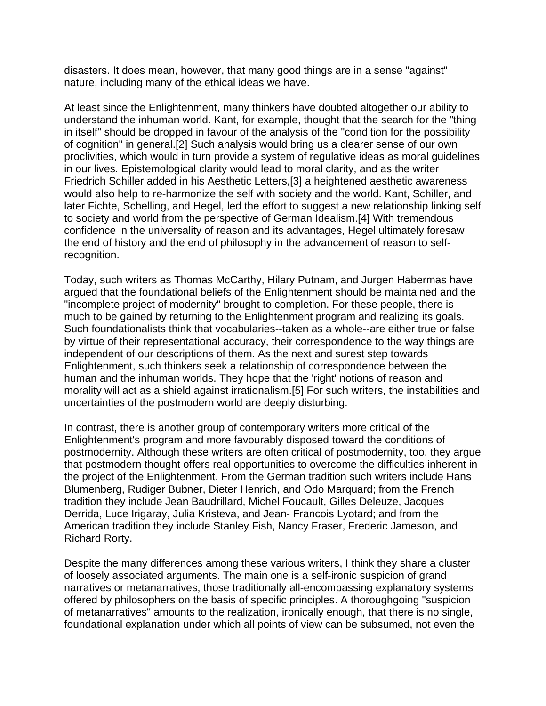disasters. It does mean, however, that many good things are in a sense "against" nature, including many of the ethical ideas we have.

At least since the Enlightenment, many thinkers have doubted altogether our ability to understand the inhuman world. Kant, for example, thought that the search for the "thing in itself" should be dropped in favour of the analysis of the "condition for the possibility of cognition" in general.[2] Such analysis would bring us a clearer sense of our own proclivities, which would in turn provide a system of regulative ideas as moral guidelines in our lives. Epistemological clarity would lead to moral clarity, and as the writer Friedrich Schiller added in his Aesthetic Letters,[3] a heightened aesthetic awareness would also help to re-harmonize the self with society and the world. Kant, Schiller, and later Fichte, Schelling, and Hegel, led the effort to suggest a new relationship linking self to society and world from the perspective of German Idealism.[4] With tremendous confidence in the universality of reason and its advantages, Hegel ultimately foresaw the end of history and the end of philosophy in the advancement of reason to selfrecognition.

Today, such writers as Thomas McCarthy, Hilary Putnam, and Jurgen Habermas have argued that the foundational beliefs of the Enlightenment should be maintained and the "incomplete project of modernity" brought to completion. For these people, there is much to be gained by returning to the Enlightenment program and realizing its goals. Such foundationalists think that vocabularies--taken as a whole--are either true or false by virtue of their representational accuracy, their correspondence to the way things are independent of our descriptions of them. As the next and surest step towards Enlightenment, such thinkers seek a relationship of correspondence between the human and the inhuman worlds. They hope that the 'right' notions of reason and morality will act as a shield against irrationalism.[5] For such writers, the instabilities and uncertainties of the postmodern world are deeply disturbing.

In contrast, there is another group of contemporary writers more critical of the Enlightenment's program and more favourably disposed toward the conditions of postmodernity. Although these writers are often critical of postmodernity, too, they argue that postmodern thought offers real opportunities to overcome the difficulties inherent in the project of the Enlightenment. From the German tradition such writers include Hans Blumenberg, Rudiger Bubner, Dieter Henrich, and Odo Marquard; from the French tradition they include Jean Baudrillard, Michel Foucault, Gilles Deleuze, Jacques Derrida, Luce Irigaray, Julia Kristeva, and Jean- Francois Lyotard; and from the American tradition they include Stanley Fish, Nancy Fraser, Frederic Jameson, and Richard Rorty.

Despite the many differences among these various writers, I think they share a cluster of loosely associated arguments. The main one is a self-ironic suspicion of grand narratives or metanarratives, those traditionally all-encompassing explanatory systems offered by philosophers on the basis of specific principles. A thoroughgoing "suspicion of metanarratives" amounts to the realization, ironically enough, that there is no single, foundational explanation under which all points of view can be subsumed, not even the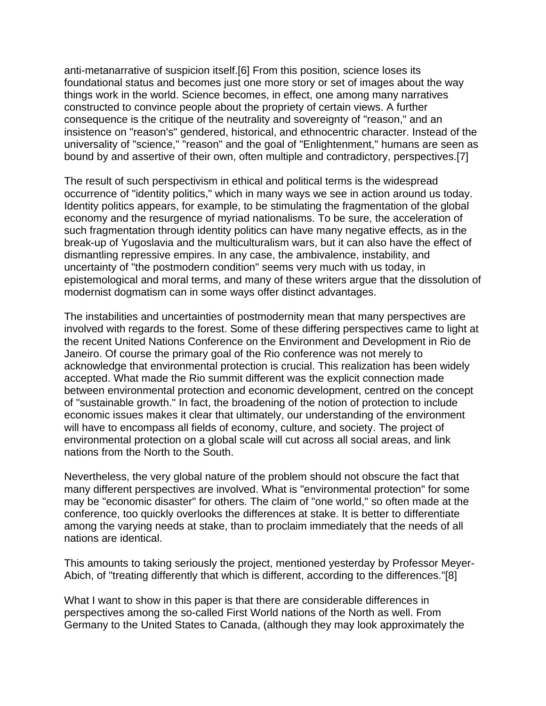anti-metanarrative of suspicion itself.[6] From this position, science loses its foundational status and becomes just one more story or set of images about the way things work in the world. Science becomes, in effect, one among many narratives constructed to convince people about the propriety of certain views. A further consequence is the critique of the neutrality and sovereignty of "reason," and an insistence on "reason's" gendered, historical, and ethnocentric character. Instead of the universality of "science," "reason" and the goal of "Enlightenment," humans are seen as bound by and assertive of their own, often multiple and contradictory, perspectives.[7]

The result of such perspectivism in ethical and political terms is the widespread occurrence of "identity politics," which in many ways we see in action around us today. Identity politics appears, for example, to be stimulating the fragmentation of the global economy and the resurgence of myriad nationalisms. To be sure, the acceleration of such fragmentation through identity politics can have many negative effects, as in the break-up of Yugoslavia and the multiculturalism wars, but it can also have the effect of dismantling repressive empires. In any case, the ambivalence, instability, and uncertainty of "the postmodern condition" seems very much with us today, in epistemological and moral terms, and many of these writers argue that the dissolution of modernist dogmatism can in some ways offer distinct advantages.

The instabilities and uncertainties of postmodernity mean that many perspectives are involved with regards to the forest. Some of these differing perspectives came to light at the recent United Nations Conference on the Environment and Development in Rio de Janeiro. Of course the primary goal of the Rio conference was not merely to acknowledge that environmental protection is crucial. This realization has been widely accepted. What made the Rio summit different was the explicit connection made between environmental protection and economic development, centred on the concept of "sustainable growth." In fact, the broadening of the notion of protection to include economic issues makes it clear that ultimately, our understanding of the environment will have to encompass all fields of economy, culture, and society. The project of environmental protection on a global scale will cut across all social areas, and link nations from the North to the South.

Nevertheless, the very global nature of the problem should not obscure the fact that many different perspectives are involved. What is "environmental protection" for some may be "economic disaster" for others. The claim of "one world," so often made at the conference, too quickly overlooks the differences at stake. It is better to differentiate among the varying needs at stake, than to proclaim immediately that the needs of all nations are identical.

This amounts to taking seriously the project, mentioned yesterday by Professor Meyer-Abich, of "treating differently that which is different, according to the differences."[8]

What I want to show in this paper is that there are considerable differences in perspectives among the so-called First World nations of the North as well. From Germany to the United States to Canada, (although they may look approximately the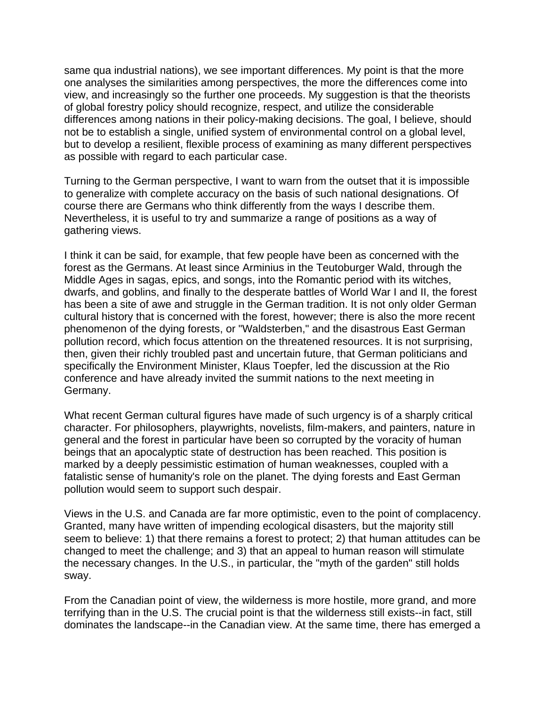same qua industrial nations), we see important differences. My point is that the more one analyses the similarities among perspectives, the more the differences come into view, and increasingly so the further one proceeds. My suggestion is that the theorists of global forestry policy should recognize, respect, and utilize the considerable differences among nations in their policy-making decisions. The goal, I believe, should not be to establish a single, unified system of environmental control on a global level, but to develop a resilient, flexible process of examining as many different perspectives as possible with regard to each particular case.

Turning to the German perspective, I want to warn from the outset that it is impossible to generalize with complete accuracy on the basis of such national designations. Of course there are Germans who think differently from the ways I describe them. Nevertheless, it is useful to try and summarize a range of positions as a way of gathering views.

I think it can be said, for example, that few people have been as concerned with the forest as the Germans. At least since Arminius in the Teutoburger Wald, through the Middle Ages in sagas, epics, and songs, into the Romantic period with its witches, dwarfs, and goblins, and finally to the desperate battles of World War I and II, the forest has been a site of awe and struggle in the German tradition. It is not only older German cultural history that is concerned with the forest, however; there is also the more recent phenomenon of the dying forests, or "Waldsterben," and the disastrous East German pollution record, which focus attention on the threatened resources. It is not surprising, then, given their richly troubled past and uncertain future, that German politicians and specifically the Environment Minister, Klaus Toepfer, led the discussion at the Rio conference and have already invited the summit nations to the next meeting in Germany.

What recent German cultural figures have made of such urgency is of a sharply critical character. For philosophers, playwrights, novelists, film-makers, and painters, nature in general and the forest in particular have been so corrupted by the voracity of human beings that an apocalyptic state of destruction has been reached. This position is marked by a deeply pessimistic estimation of human weaknesses, coupled with a fatalistic sense of humanity's role on the planet. The dying forests and East German pollution would seem to support such despair.

Views in the U.S. and Canada are far more optimistic, even to the point of complacency. Granted, many have written of impending ecological disasters, but the majority still seem to believe: 1) that there remains a forest to protect; 2) that human attitudes can be changed to meet the challenge; and 3) that an appeal to human reason will stimulate the necessary changes. In the U.S., in particular, the "myth of the garden" still holds sway.

From the Canadian point of view, the wilderness is more hostile, more grand, and more terrifying than in the U.S. The crucial point is that the wilderness still exists--in fact, still dominates the landscape--in the Canadian view. At the same time, there has emerged a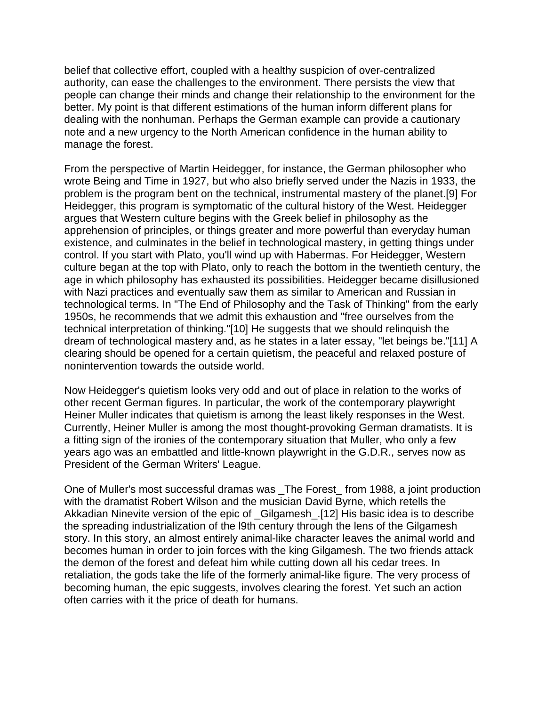belief that collective effort, coupled with a healthy suspicion of over-centralized authority, can ease the challenges to the environment. There persists the view that people can change their minds and change their relationship to the environment for the better. My point is that different estimations of the human inform different plans for dealing with the nonhuman. Perhaps the German example can provide a cautionary note and a new urgency to the North American confidence in the human ability to manage the forest.

From the perspective of Martin Heidegger, for instance, the German philosopher who wrote Being and Time in 1927, but who also briefly served under the Nazis in 1933, the problem is the program bent on the technical, instrumental mastery of the planet.[9] For Heidegger, this program is symptomatic of the cultural history of the West. Heidegger argues that Western culture begins with the Greek belief in philosophy as the apprehension of principles, or things greater and more powerful than everyday human existence, and culminates in the belief in technological mastery, in getting things under control. If you start with Plato, you'll wind up with Habermas. For Heidegger, Western culture began at the top with Plato, only to reach the bottom in the twentieth century, the age in which philosophy has exhausted its possibilities. Heidegger became disillusioned with Nazi practices and eventually saw them as similar to American and Russian in technological terms. In "The End of Philosophy and the Task of Thinking" from the early 1950s, he recommends that we admit this exhaustion and "free ourselves from the technical interpretation of thinking."[10] He suggests that we should relinquish the dream of technological mastery and, as he states in a later essay, "let beings be."[11] A clearing should be opened for a certain quietism, the peaceful and relaxed posture of nonintervention towards the outside world.

Now Heidegger's quietism looks very odd and out of place in relation to the works of other recent German figures. In particular, the work of the contemporary playwright Heiner Muller indicates that quietism is among the least likely responses in the West. Currently, Heiner Muller is among the most thought-provoking German dramatists. It is a fitting sign of the ironies of the contemporary situation that Muller, who only a few years ago was an embattled and little-known playwright in the G.D.R., serves now as President of the German Writers' League.

One of Muller's most successful dramas was \_The Forest\_ from 1988, a joint production with the dramatist Robert Wilson and the musician David Byrne, which retells the Akkadian Ninevite version of the epic of \_Gilgamesh\_.[12] His basic idea is to describe the spreading industrialization of the l9th century through the lens of the Gilgamesh story. In this story, an almost entirely animal-like character leaves the animal world and becomes human in order to join forces with the king Gilgamesh. The two friends attack the demon of the forest and defeat him while cutting down all his cedar trees. In retaliation, the gods take the life of the formerly animal-like figure. The very process of becoming human, the epic suggests, involves clearing the forest. Yet such an action often carries with it the price of death for humans.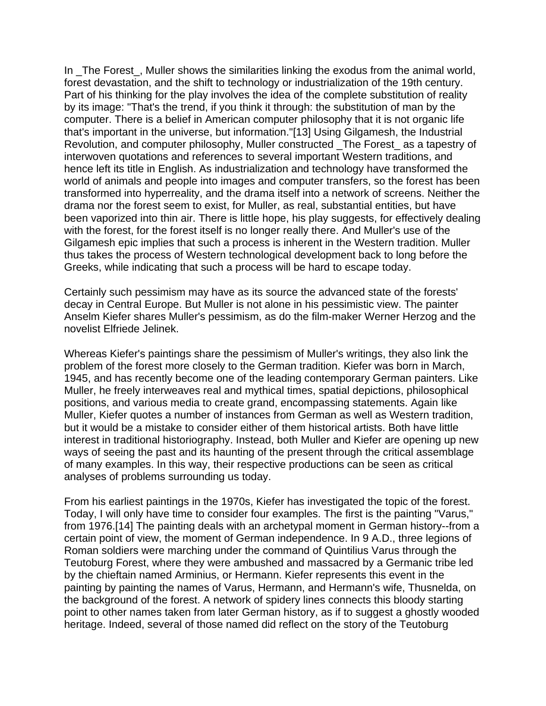In The Forest, Muller shows the similarities linking the exodus from the animal world, forest devastation, and the shift to technology or industrialization of the 19th century. Part of his thinking for the play involves the idea of the complete substitution of reality by its image: "That's the trend, if you think it through: the substitution of man by the computer. There is a belief in American computer philosophy that it is not organic life that's important in the universe, but information."[13] Using Gilgamesh, the Industrial Revolution, and computer philosophy, Muller constructed \_The Forest\_ as a tapestry of interwoven quotations and references to several important Western traditions, and hence left its title in English. As industrialization and technology have transformed the world of animals and people into images and computer transfers, so the forest has been transformed into hyperreality, and the drama itself into a network of screens. Neither the drama nor the forest seem to exist, for Muller, as real, substantial entities, but have been vaporized into thin air. There is little hope, his play suggests, for effectively dealing with the forest, for the forest itself is no longer really there. And Muller's use of the Gilgamesh epic implies that such a process is inherent in the Western tradition. Muller thus takes the process of Western technological development back to long before the Greeks, while indicating that such a process will be hard to escape today.

Certainly such pessimism may have as its source the advanced state of the forests' decay in Central Europe. But Muller is not alone in his pessimistic view. The painter Anselm Kiefer shares Muller's pessimism, as do the film-maker Werner Herzog and the novelist Elfriede Jelinek.

Whereas Kiefer's paintings share the pessimism of Muller's writings, they also link the problem of the forest more closely to the German tradition. Kiefer was born in March, 1945, and has recently become one of the leading contemporary German painters. Like Muller, he freely interweaves real and mythical times, spatial depictions, philosophical positions, and various media to create grand, encompassing statements. Again like Muller, Kiefer quotes a number of instances from German as well as Western tradition, but it would be a mistake to consider either of them historical artists. Both have little interest in traditional historiography. Instead, both Muller and Kiefer are opening up new ways of seeing the past and its haunting of the present through the critical assemblage of many examples. In this way, their respective productions can be seen as critical analyses of problems surrounding us today.

From his earliest paintings in the 1970s, Kiefer has investigated the topic of the forest. Today, I will only have time to consider four examples. The first is the painting "Varus," from 1976.[14] The painting deals with an archetypal moment in German history--from a certain point of view, the moment of German independence. In 9 A.D., three legions of Roman soldiers were marching under the command of Quintilius Varus through the Teutoburg Forest, where they were ambushed and massacred by a Germanic tribe led by the chieftain named Arminius, or Hermann. Kiefer represents this event in the painting by painting the names of Varus, Hermann, and Hermann's wife, Thusnelda, on the background of the forest. A network of spidery lines connects this bloody starting point to other names taken from later German history, as if to suggest a ghostly wooded heritage. Indeed, several of those named did reflect on the story of the Teutoburg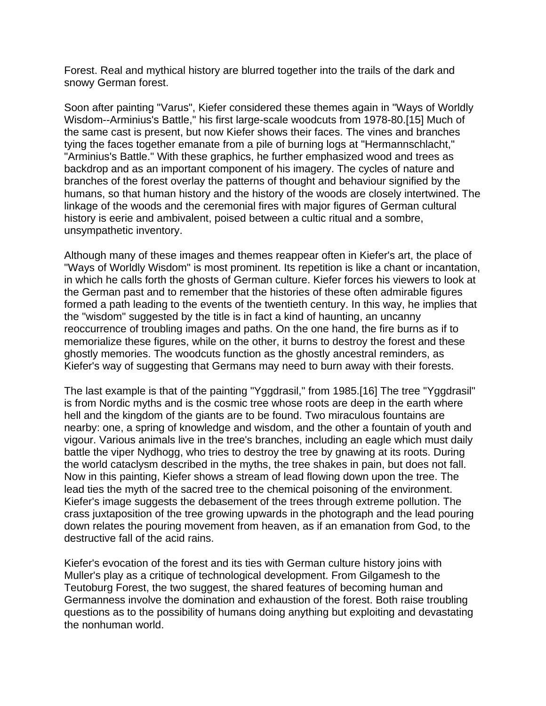Forest. Real and mythical history are blurred together into the trails of the dark and snowy German forest.

Soon after painting "Varus", Kiefer considered these themes again in "Ways of Worldly Wisdom--Arminius's Battle," his first large-scale woodcuts from 1978-80.[15] Much of the same cast is present, but now Kiefer shows their faces. The vines and branches tying the faces together emanate from a pile of burning logs at "Hermannschlacht," "Arminius's Battle." With these graphics, he further emphasized wood and trees as backdrop and as an important component of his imagery. The cycles of nature and branches of the forest overlay the patterns of thought and behaviour signified by the humans, so that human history and the history of the woods are closely intertwined. The linkage of the woods and the ceremonial fires with major figures of German cultural history is eerie and ambivalent, poised between a cultic ritual and a sombre, unsympathetic inventory.

Although many of these images and themes reappear often in Kiefer's art, the place of "Ways of Worldly Wisdom" is most prominent. Its repetition is like a chant or incantation, in which he calls forth the ghosts of German culture. Kiefer forces his viewers to look at the German past and to remember that the histories of these often admirable figures formed a path leading to the events of the twentieth century. In this way, he implies that the "wisdom" suggested by the title is in fact a kind of haunting, an uncanny reoccurrence of troubling images and paths. On the one hand, the fire burns as if to memorialize these figures, while on the other, it burns to destroy the forest and these ghostly memories. The woodcuts function as the ghostly ancestral reminders, as Kiefer's way of suggesting that Germans may need to burn away with their forests.

The last example is that of the painting "Yggdrasil," from 1985.[16] The tree "Yggdrasil" is from Nordic myths and is the cosmic tree whose roots are deep in the earth where hell and the kingdom of the giants are to be found. Two miraculous fountains are nearby: one, a spring of knowledge and wisdom, and the other a fountain of youth and vigour. Various animals live in the tree's branches, including an eagle which must daily battle the viper Nydhogg, who tries to destroy the tree by gnawing at its roots. During the world cataclysm described in the myths, the tree shakes in pain, but does not fall. Now in this painting, Kiefer shows a stream of lead flowing down upon the tree. The lead ties the myth of the sacred tree to the chemical poisoning of the environment. Kiefer's image suggests the debasement of the trees through extreme pollution. The crass juxtaposition of the tree growing upwards in the photograph and the lead pouring down relates the pouring movement from heaven, as if an emanation from God, to the destructive fall of the acid rains.

Kiefer's evocation of the forest and its ties with German culture history joins with Muller's play as a critique of technological development. From Gilgamesh to the Teutoburg Forest, the two suggest, the shared features of becoming human and Germanness involve the domination and exhaustion of the forest. Both raise troubling questions as to the possibility of humans doing anything but exploiting and devastating the nonhuman world.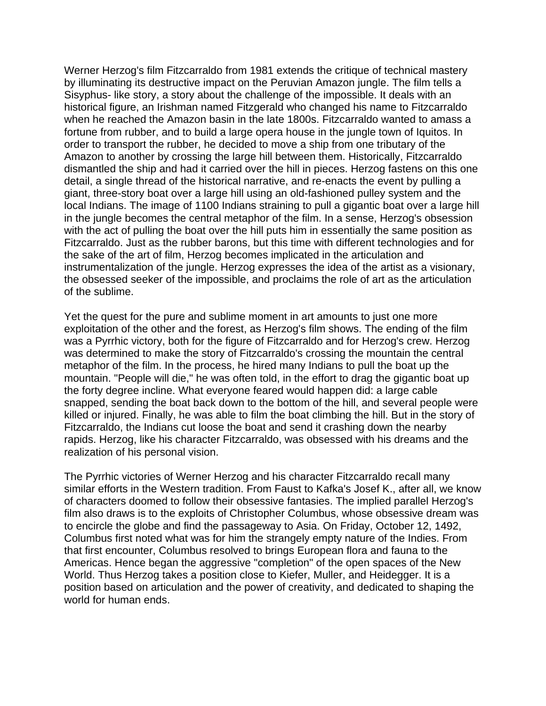Werner Herzog's film Fitzcarraldo from 1981 extends the critique of technical mastery by illuminating its destructive impact on the Peruvian Amazon jungle. The film tells a Sisyphus- like story, a story about the challenge of the impossible. It deals with an historical figure, an Irishman named Fitzgerald who changed his name to Fitzcarraldo when he reached the Amazon basin in the late 1800s. Fitzcarraldo wanted to amass a fortune from rubber, and to build a large opera house in the jungle town of Iquitos. In order to transport the rubber, he decided to move a ship from one tributary of the Amazon to another by crossing the large hill between them. Historically, Fitzcarraldo dismantled the ship and had it carried over the hill in pieces. Herzog fastens on this one detail, a single thread of the historical narrative, and re-enacts the event by pulling a giant, three-story boat over a large hill using an old-fashioned pulley system and the local Indians. The image of 1100 Indians straining to pull a gigantic boat over a large hill in the jungle becomes the central metaphor of the film. In a sense, Herzog's obsession with the act of pulling the boat over the hill puts him in essentially the same position as Fitzcarraldo. Just as the rubber barons, but this time with different technologies and for the sake of the art of film, Herzog becomes implicated in the articulation and instrumentalization of the jungle. Herzog expresses the idea of the artist as a visionary, the obsessed seeker of the impossible, and proclaims the role of art as the articulation of the sublime.

Yet the quest for the pure and sublime moment in art amounts to just one more exploitation of the other and the forest, as Herzog's film shows. The ending of the film was a Pyrrhic victory, both for the figure of Fitzcarraldo and for Herzog's crew. Herzog was determined to make the story of Fitzcarraldo's crossing the mountain the central metaphor of the film. In the process, he hired many Indians to pull the boat up the mountain. "People will die," he was often told, in the effort to drag the gigantic boat up the forty degree incline. What everyone feared would happen did: a large cable snapped, sending the boat back down to the bottom of the hill, and several people were killed or injured. Finally, he was able to film the boat climbing the hill. But in the story of Fitzcarraldo, the Indians cut loose the boat and send it crashing down the nearby rapids. Herzog, like his character Fitzcarraldo, was obsessed with his dreams and the realization of his personal vision.

The Pyrrhic victories of Werner Herzog and his character Fitzcarraldo recall many similar efforts in the Western tradition. From Faust to Kafka's Josef K., after all, we know of characters doomed to follow their obsessive fantasies. The implied parallel Herzog's film also draws is to the exploits of Christopher Columbus, whose obsessive dream was to encircle the globe and find the passageway to Asia. On Friday, October 12, 1492, Columbus first noted what was for him the strangely empty nature of the Indies. From that first encounter, Columbus resolved to brings European flora and fauna to the Americas. Hence began the aggressive "completion" of the open spaces of the New World. Thus Herzog takes a position close to Kiefer, Muller, and Heidegger. It is a position based on articulation and the power of creativity, and dedicated to shaping the world for human ends.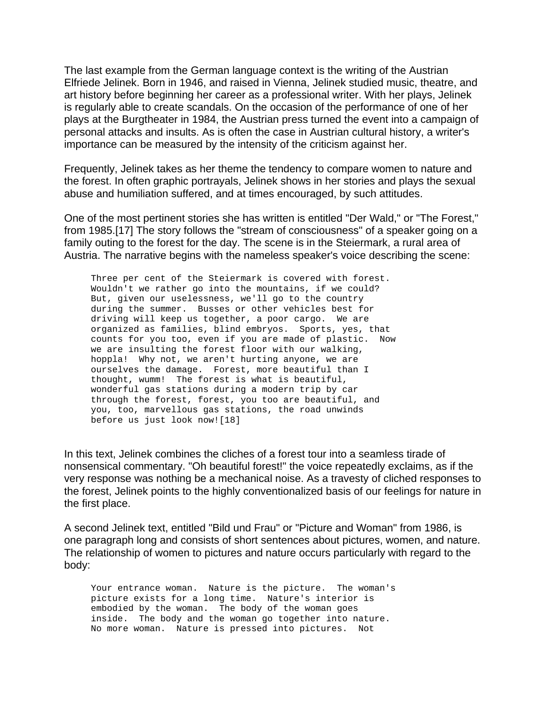The last example from the German language context is the writing of the Austrian Elfriede Jelinek. Born in 1946, and raised in Vienna, Jelinek studied music, theatre, and art history before beginning her career as a professional writer. With her plays, Jelinek is regularly able to create scandals. On the occasion of the performance of one of her plays at the Burgtheater in 1984, the Austrian press turned the event into a campaign of personal attacks and insults. As is often the case in Austrian cultural history, a writer's importance can be measured by the intensity of the criticism against her.

Frequently, Jelinek takes as her theme the tendency to compare women to nature and the forest. In often graphic portrayals, Jelinek shows in her stories and plays the sexual abuse and humiliation suffered, and at times encouraged, by such attitudes.

One of the most pertinent stories she has written is entitled "Der Wald," or "The Forest," from 1985.[17] The story follows the "stream of consciousness" of a speaker going on a family outing to the forest for the day. The scene is in the Steiermark, a rural area of Austria. The narrative begins with the nameless speaker's voice describing the scene:

 Three per cent of the Steiermark is covered with forest. Wouldn't we rather go into the mountains, if we could? But, given our uselessness, we'll go to the country during the summer. Busses or other vehicles best for driving will keep us together, a poor cargo. We are organized as families, blind embryos. Sports, yes, that counts for you too, even if you are made of plastic. Now we are insulting the forest floor with our walking, hoppla! Why not, we aren't hurting anyone, we are ourselves the damage. Forest, more beautiful than I thought, wumm! The forest is what is beautiful, wonderful gas stations during a modern trip by car through the forest, forest, you too are beautiful, and you, too, marvellous gas stations, the road unwinds before us just look now![18]

In this text, Jelinek combines the cliches of a forest tour into a seamless tirade of nonsensical commentary. "Oh beautiful forest!" the voice repeatedly exclaims, as if the very response was nothing be a mechanical noise. As a travesty of cliched responses to the forest, Jelinek points to the highly conventionalized basis of our feelings for nature in the first place.

A second Jelinek text, entitled "Bild und Frau" or "Picture and Woman" from 1986, is one paragraph long and consists of short sentences about pictures, women, and nature. The relationship of women to pictures and nature occurs particularly with regard to the body:

 Your entrance woman. Nature is the picture. The woman's picture exists for a long time. Nature's interior is embodied by the woman. The body of the woman goes inside. The body and the woman go together into nature. No more woman. Nature is pressed into pictures. Not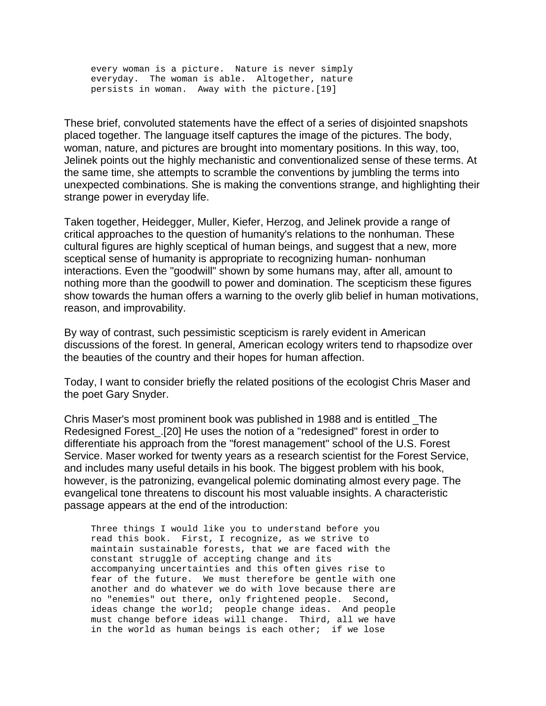every woman is a picture. Nature is never simply everyday. The woman is able. Altogether, nature persists in woman. Away with the picture.[19]

These brief, convoluted statements have the effect of a series of disjointed snapshots placed together. The language itself captures the image of the pictures. The body, woman, nature, and pictures are brought into momentary positions. In this way, too, Jelinek points out the highly mechanistic and conventionalized sense of these terms. At the same time, she attempts to scramble the conventions by jumbling the terms into unexpected combinations. She is making the conventions strange, and highlighting their strange power in everyday life.

Taken together, Heidegger, Muller, Kiefer, Herzog, and Jelinek provide a range of critical approaches to the question of humanity's relations to the nonhuman. These cultural figures are highly sceptical of human beings, and suggest that a new, more sceptical sense of humanity is appropriate to recognizing human- nonhuman interactions. Even the "goodwill" shown by some humans may, after all, amount to nothing more than the goodwill to power and domination. The scepticism these figures show towards the human offers a warning to the overly glib belief in human motivations, reason, and improvability.

By way of contrast, such pessimistic scepticism is rarely evident in American discussions of the forest. In general, American ecology writers tend to rhapsodize over the beauties of the country and their hopes for human affection.

Today, I want to consider briefly the related positions of the ecologist Chris Maser and the poet Gary Snyder.

Chris Maser's most prominent book was published in 1988 and is entitled \_The Redesigned Forest\_.[20] He uses the notion of a "redesigned" forest in order to differentiate his approach from the "forest management" school of the U.S. Forest Service. Maser worked for twenty years as a research scientist for the Forest Service, and includes many useful details in his book. The biggest problem with his book, however, is the patronizing, evangelical polemic dominating almost every page. The evangelical tone threatens to discount his most valuable insights. A characteristic passage appears at the end of the introduction:

 Three things I would like you to understand before you read this book. First, I recognize, as we strive to maintain sustainable forests, that we are faced with the constant struggle of accepting change and its accompanying uncertainties and this often gives rise to fear of the future. We must therefore be gentle with one another and do whatever we do with love because there are no "enemies" out there, only frightened people. Second, ideas change the world; people change ideas. And people must change before ideas will change. Third, all we have in the world as human beings is each other; if we lose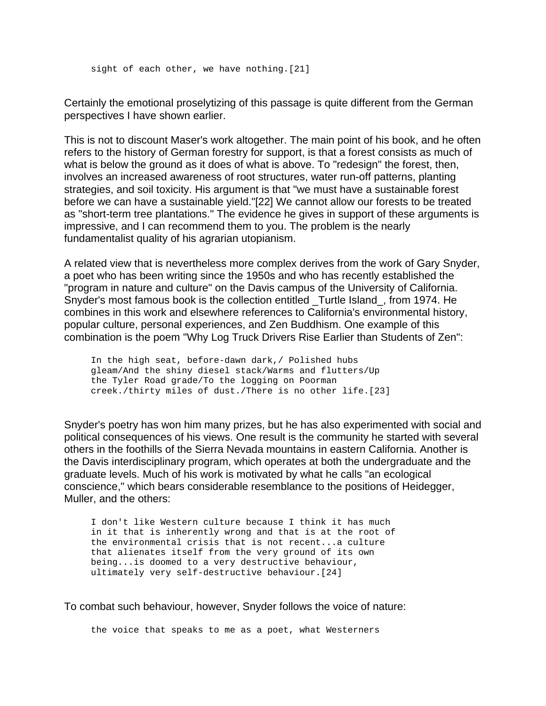sight of each other, we have nothing.[21]

Certainly the emotional proselytizing of this passage is quite different from the German perspectives I have shown earlier.

This is not to discount Maser's work altogether. The main point of his book, and he often refers to the history of German forestry for support, is that a forest consists as much of what is below the ground as it does of what is above. To "redesign" the forest, then, involves an increased awareness of root structures, water run-off patterns, planting strategies, and soil toxicity. His argument is that "we must have a sustainable forest before we can have a sustainable yield."[22] We cannot allow our forests to be treated as "short-term tree plantations." The evidence he gives in support of these arguments is impressive, and I can recommend them to you. The problem is the nearly fundamentalist quality of his agrarian utopianism.

A related view that is nevertheless more complex derives from the work of Gary Snyder, a poet who has been writing since the 1950s and who has recently established the "program in nature and culture" on the Davis campus of the University of California. Snyder's most famous book is the collection entitled \_Turtle Island\_, from 1974. He combines in this work and elsewhere references to California's environmental history, popular culture, personal experiences, and Zen Buddhism. One example of this combination is the poem "Why Log Truck Drivers Rise Earlier than Students of Zen":

 In the high seat, before-dawn dark,/ Polished hubs gleam/And the shiny diesel stack/Warms and flutters/Up the Tyler Road grade/To the logging on Poorman creek./thirty miles of dust./There is no other life.[23]

Snyder's poetry has won him many prizes, but he has also experimented with social and political consequences of his views. One result is the community he started with several others in the foothills of the Sierra Nevada mountains in eastern California. Another is the Davis interdisciplinary program, which operates at both the undergraduate and the graduate levels. Much of his work is motivated by what he calls "an ecological conscience," which bears considerable resemblance to the positions of Heidegger, Muller, and the others:

 I don't like Western culture because I think it has much in it that is inherently wrong and that is at the root of the environmental crisis that is not recent...a culture that alienates itself from the very ground of its own being...is doomed to a very destructive behaviour, ultimately very self-destructive behaviour.[24]

To combat such behaviour, however, Snyder follows the voice of nature:

the voice that speaks to me as a poet, what Westerners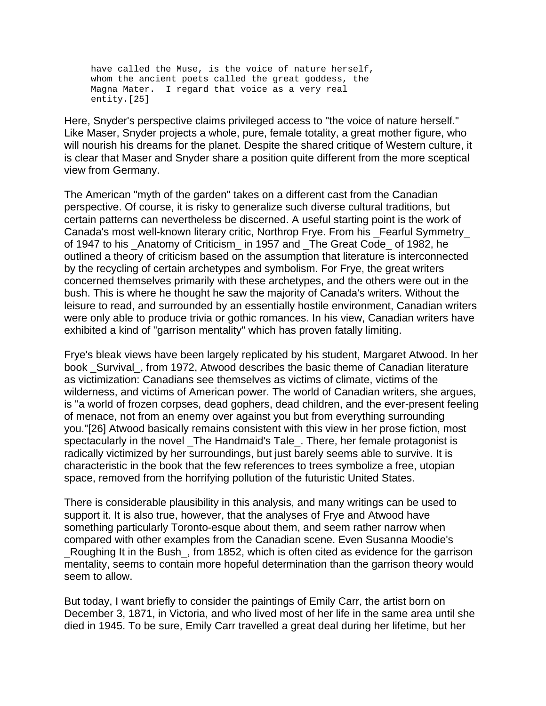have called the Muse, is the voice of nature herself, whom the ancient poets called the great goddess, the Magna Mater. I regard that voice as a very real entity.[25]

Here, Snyder's perspective claims privileged access to "the voice of nature herself." Like Maser, Snyder projects a whole, pure, female totality, a great mother figure, who will nourish his dreams for the planet. Despite the shared critique of Western culture, it is clear that Maser and Snyder share a position quite different from the more sceptical view from Germany.

The American "myth of the garden" takes on a different cast from the Canadian perspective. Of course, it is risky to generalize such diverse cultural traditions, but certain patterns can nevertheless be discerned. A useful starting point is the work of Canada's most well-known literary critic, Northrop Frye. From his \_Fearful Symmetry\_ of 1947 to his \_Anatomy of Criticism\_ in 1957 and \_The Great Code\_ of 1982, he outlined a theory of criticism based on the assumption that literature is interconnected by the recycling of certain archetypes and symbolism. For Frye, the great writers concerned themselves primarily with these archetypes, and the others were out in the bush. This is where he thought he saw the majority of Canada's writers. Without the leisure to read, and surrounded by an essentially hostile environment, Canadian writers were only able to produce trivia or gothic romances. In his view, Canadian writers have exhibited a kind of "garrison mentality" which has proven fatally limiting.

Frye's bleak views have been largely replicated by his student, Margaret Atwood. In her book Survival, from 1972, Atwood describes the basic theme of Canadian literature as victimization: Canadians see themselves as victims of climate, victims of the wilderness, and victims of American power. The world of Canadian writers, she argues, is "a world of frozen corpses, dead gophers, dead children, and the ever-present feeling of menace, not from an enemy over against you but from everything surrounding you."[26] Atwood basically remains consistent with this view in her prose fiction, most spectacularly in the novel \_The Handmaid's Tale\_. There, her female protagonist is radically victimized by her surroundings, but just barely seems able to survive. It is characteristic in the book that the few references to trees symbolize a free, utopian space, removed from the horrifying pollution of the futuristic United States.

There is considerable plausibility in this analysis, and many writings can be used to support it. It is also true, however, that the analyses of Frye and Atwood have something particularly Toronto-esque about them, and seem rather narrow when compared with other examples from the Canadian scene. Even Susanna Moodie's Roughing It in the Bush, from 1852, which is often cited as evidence for the garrison mentality, seems to contain more hopeful determination than the garrison theory would seem to allow.

But today, I want briefly to consider the paintings of Emily Carr, the artist born on December 3, 1871, in Victoria, and who lived most of her life in the same area until she died in 1945. To be sure, Emily Carr travelled a great deal during her lifetime, but her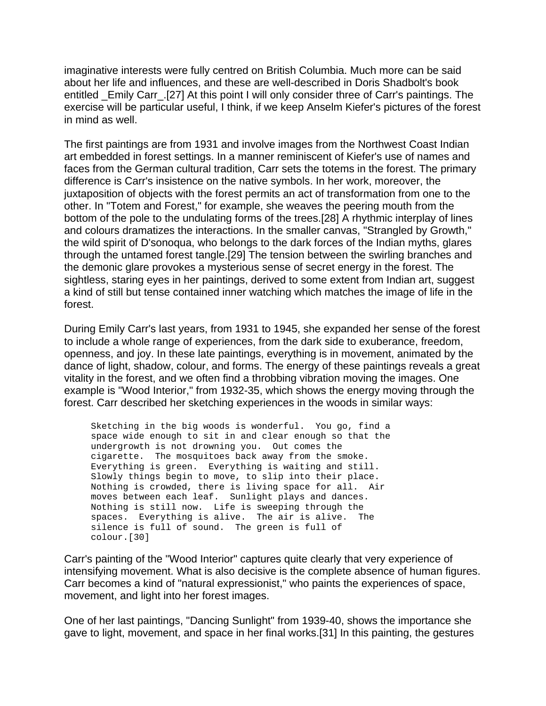imaginative interests were fully centred on British Columbia. Much more can be said about her life and influences, and these are well-described in Doris Shadbolt's book entitled \_Emily Carr\_.[27] At this point I will only consider three of Carr's paintings. The exercise will be particular useful, I think, if we keep Anselm Kiefer's pictures of the forest in mind as well.

The first paintings are from 1931 and involve images from the Northwest Coast Indian art embedded in forest settings. In a manner reminiscent of Kiefer's use of names and faces from the German cultural tradition, Carr sets the totems in the forest. The primary difference is Carr's insistence on the native symbols. In her work, moreover, the juxtaposition of objects with the forest permits an act of transformation from one to the other. In "Totem and Forest," for example, she weaves the peering mouth from the bottom of the pole to the undulating forms of the trees.[28] A rhythmic interplay of lines and colours dramatizes the interactions. In the smaller canvas, "Strangled by Growth," the wild spirit of D'sonoqua, who belongs to the dark forces of the Indian myths, glares through the untamed forest tangle.[29] The tension between the swirling branches and the demonic glare provokes a mysterious sense of secret energy in the forest. The sightless, staring eyes in her paintings, derived to some extent from Indian art, suggest a kind of still but tense contained inner watching which matches the image of life in the forest.

During Emily Carr's last years, from 1931 to 1945, she expanded her sense of the forest to include a whole range of experiences, from the dark side to exuberance, freedom, openness, and joy. In these late paintings, everything is in movement, animated by the dance of light, shadow, colour, and forms. The energy of these paintings reveals a great vitality in the forest, and we often find a throbbing vibration moving the images. One example is "Wood Interior," from 1932-35, which shows the energy moving through the forest. Carr described her sketching experiences in the woods in similar ways:

 Sketching in the big woods is wonderful. You go, find a space wide enough to sit in and clear enough so that the undergrowth is not drowning you. Out comes the cigarette. The mosquitoes back away from the smoke. Everything is green. Everything is waiting and still. Slowly things begin to move, to slip into their place. Nothing is crowded, there is living space for all. Air moves between each leaf. Sunlight plays and dances. Nothing is still now. Life is sweeping through the spaces. Everything is alive. The air is alive. The silence is full of sound. The green is full of colour.[30]

Carr's painting of the "Wood Interior" captures quite clearly that very experience of intensifying movement. What is also decisive is the complete absence of human figures. Carr becomes a kind of "natural expressionist," who paints the experiences of space, movement, and light into her forest images.

One of her last paintings, "Dancing Sunlight" from 1939-40, shows the importance she gave to light, movement, and space in her final works.[31] In this painting, the gestures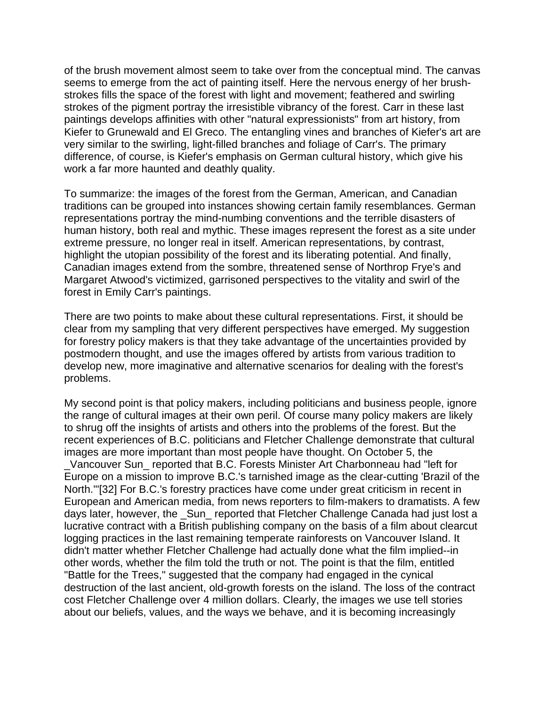of the brush movement almost seem to take over from the conceptual mind. The canvas seems to emerge from the act of painting itself. Here the nervous energy of her brushstrokes fills the space of the forest with light and movement; feathered and swirling strokes of the pigment portray the irresistible vibrancy of the forest. Carr in these last paintings develops affinities with other "natural expressionists" from art history, from Kiefer to Grunewald and El Greco. The entangling vines and branches of Kiefer's art are very similar to the swirling, light-filled branches and foliage of Carr's. The primary difference, of course, is Kiefer's emphasis on German cultural history, which give his work a far more haunted and deathly quality.

To summarize: the images of the forest from the German, American, and Canadian traditions can be grouped into instances showing certain family resemblances. German representations portray the mind-numbing conventions and the terrible disasters of human history, both real and mythic. These images represent the forest as a site under extreme pressure, no longer real in itself. American representations, by contrast, highlight the utopian possibility of the forest and its liberating potential. And finally, Canadian images extend from the sombre, threatened sense of Northrop Frye's and Margaret Atwood's victimized, garrisoned perspectives to the vitality and swirl of the forest in Emily Carr's paintings.

There are two points to make about these cultural representations. First, it should be clear from my sampling that very different perspectives have emerged. My suggestion for forestry policy makers is that they take advantage of the uncertainties provided by postmodern thought, and use the images offered by artists from various tradition to develop new, more imaginative and alternative scenarios for dealing with the forest's problems.

My second point is that policy makers, including politicians and business people, ignore the range of cultural images at their own peril. Of course many policy makers are likely to shrug off the insights of artists and others into the problems of the forest. But the recent experiences of B.C. politicians and Fletcher Challenge demonstrate that cultural images are more important than most people have thought. On October 5, the \_Vancouver Sun\_ reported that B.C. Forests Minister Art Charbonneau had "left for Europe on a mission to improve B.C.'s tarnished image as the clear-cutting 'Brazil of the North.'"[32] For B.C.'s forestry practices have come under great criticism in recent in European and American media, from news reporters to film-makers to dramatists. A few days later, however, the \_Sun\_ reported that Fletcher Challenge Canada had just lost a lucrative contract with a British publishing company on the basis of a film about clearcut logging practices in the last remaining temperate rainforests on Vancouver Island. It didn't matter whether Fletcher Challenge had actually done what the film implied--in other words, whether the film told the truth or not. The point is that the film, entitled "Battle for the Trees," suggested that the company had engaged in the cynical destruction of the last ancient, old-growth forests on the island. The loss of the contract cost Fletcher Challenge over 4 million dollars. Clearly, the images we use tell stories about our beliefs, values, and the ways we behave, and it is becoming increasingly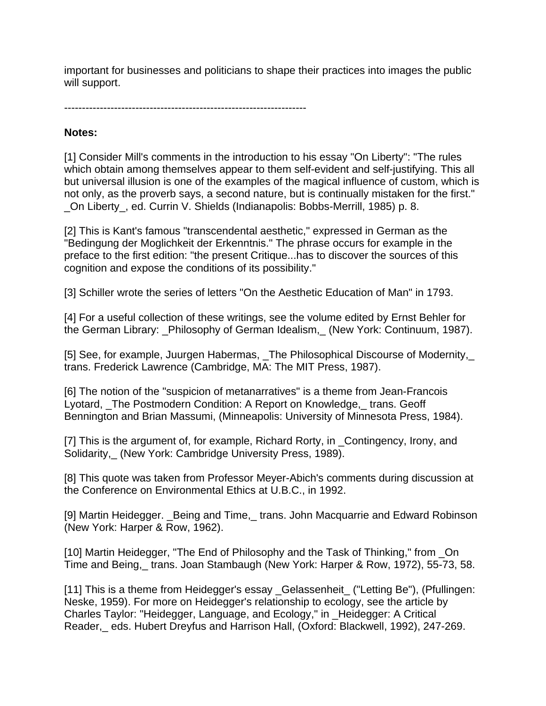important for businesses and politicians to shape their practices into images the public will support.

--------------------------------------------------------------------

## **Notes:**

[1] Consider Mill's comments in the introduction to his essay "On Liberty": "The rules which obtain among themselves appear to them self-evident and self-justifying. This all but universal illusion is one of the examples of the magical influence of custom, which is not only, as the proverb says, a second nature, but is continually mistaken for the first." \_On Liberty\_, ed. Currin V. Shields (Indianapolis: Bobbs-Merrill, 1985) p. 8.

[2] This is Kant's famous "transcendental aesthetic," expressed in German as the "Bedingung der Moglichkeit der Erkenntnis." The phrase occurs for example in the preface to the first edition: "the present Critique...has to discover the sources of this cognition and expose the conditions of its possibility."

[3] Schiller wrote the series of letters "On the Aesthetic Education of Man" in 1793.

[4] For a useful collection of these writings, see the volume edited by Ernst Behler for the German Library: Philosophy of German Idealism, (New York: Continuum, 1987).

[5] See, for example, Juurgen Habermas, The Philosophical Discourse of Modernity, trans. Frederick Lawrence (Cambridge, MA: The MIT Press, 1987).

[6] The notion of the "suspicion of metanarratives" is a theme from Jean-Francois Lyotard, \_The Postmodern Condition: A Report on Knowledge,\_ trans. Geoff Bennington and Brian Massumi, (Minneapolis: University of Minnesota Press, 1984).

[7] This is the argument of, for example, Richard Rorty, in \_Contingency, Irony, and Solidarity,\_ (New York: Cambridge University Press, 1989).

[8] This quote was taken from Professor Meyer-Abich's comments during discussion at the Conference on Environmental Ethics at U.B.C., in 1992.

[9] Martin Heidegger. Being and Time, trans. John Macquarrie and Edward Robinson (New York: Harper & Row, 1962).

[10] Martin Heidegger, "The End of Philosophy and the Task of Thinking," from On Time and Being,\_ trans. Joan Stambaugh (New York: Harper & Row, 1972), 55-73, 58.

[11] This is a theme from Heidegger's essay Gelassenheit ("Letting Be"), (Pfullingen: Neske, 1959). For more on Heidegger's relationship to ecology, see the article by Charles Taylor: "Heidegger, Language, and Ecology," in \_Heidegger: A Critical Reader,\_ eds. Hubert Dreyfus and Harrison Hall, (Oxford: Blackwell, 1992), 247-269.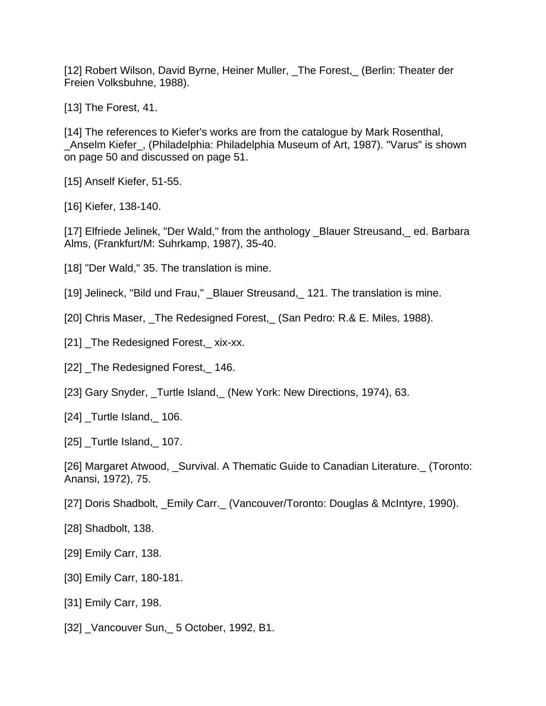[12] Robert Wilson, David Byrne, Heiner Muller, \_The Forest,\_ (Berlin: Theater der Freien Volksbuhne, 1988).

[13] The Forest, 41.

[14] The references to Kiefer's works are from the catalogue by Mark Rosenthal, \_Anselm Kiefer\_, (Philadelphia: Philadelphia Museum of Art, 1987). "Varus" is shown on page 50 and discussed on page 51.

[15] Anself Kiefer, 51-55.

[16] Kiefer, 138-140.

[17] Elfriede Jelinek, "Der Wald," from the anthology \_Blauer Streusand, ed. Barbara Alms, (Frankfurt/M: Suhrkamp, 1987), 35-40.

[18] "Der Wald," 35. The translation is mine.

[19] Jelineck, "Bild und Frau," \_Blauer Streusand, 121. The translation is mine.

[20] Chris Maser, The Redesigned Forest, (San Pedro: R.& E. Miles, 1988).

[21] The Redesigned Forest, xix-xx.

[22] The Redesigned Forest, 146.

[23] Gary Snyder, \_Turtle Island, (New York: New Directions, 1974), 63.

[24] Turtle Island, 106.

[25] Turtle Island, 107.

[26] Margaret Atwood, Survival. A Thematic Guide to Canadian Literature. (Toronto: Anansi, 1972), 75.

[27] Doris Shadbolt, \_Emily Carr.\_ (Vancouver/Toronto: Douglas & McIntyre, 1990).

[28] Shadbolt, 138.

[29] Emily Carr, 138.

[30] Emily Carr, 180-181.

[31] Emily Carr, 198.

[32] \_Vancouver Sun,\_ 5 October, 1992, B1.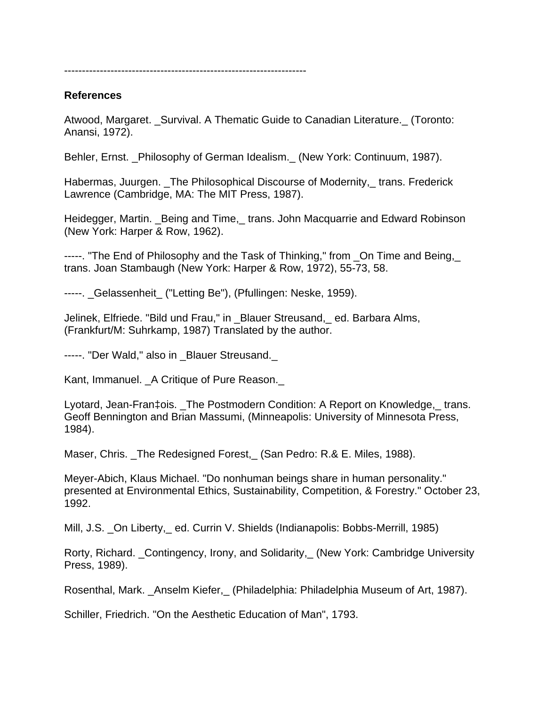--------------------------------------------------------------------

#### **References**

Atwood, Margaret. \_Survival. A Thematic Guide to Canadian Literature.\_ (Toronto: Anansi, 1972).

Behler, Ernst. \_Philosophy of German Idealism.\_ (New York: Continuum, 1987).

Habermas, Juurgen. The Philosophical Discourse of Modernity, trans. Frederick Lawrence (Cambridge, MA: The MIT Press, 1987).

Heidegger, Martin. \_Being and Time,\_ trans. John Macquarrie and Edward Robinson (New York: Harper & Row, 1962).

-----. "The End of Philosophy and the Task of Thinking," from On Time and Being, trans. Joan Stambaugh (New York: Harper & Row, 1972), 55-73, 58.

-----. \_Gelassenheit\_ ("Letting Be"), (Pfullingen: Neske, 1959).

Jelinek, Elfriede. "Bild und Frau," in \_Blauer Streusand,\_ ed. Barbara Alms, (Frankfurt/M: Suhrkamp, 1987) Translated by the author.

-----. "Der Wald," also in Blauer Streusand.

Kant, Immanuel. \_A Critique of Pure Reason.\_

Lyotard, Jean-Fran‡ois. The Postmodern Condition: A Report on Knowledge, trans. Geoff Bennington and Brian Massumi, (Minneapolis: University of Minnesota Press, 1984).

Maser, Chris. The Redesigned Forest, (San Pedro: R.& E. Miles, 1988).

Meyer-Abich, Klaus Michael. "Do nonhuman beings share in human personality." presented at Environmental Ethics, Sustainability, Competition, & Forestry." October 23, 1992.

Mill, J.S. \_On Liberty,\_ ed. Currin V. Shields (Indianapolis: Bobbs-Merrill, 1985)

Rorty, Richard. \_Contingency, Irony, and Solidarity,\_ (New York: Cambridge University Press, 1989).

Rosenthal, Mark. \_Anselm Kiefer,\_ (Philadelphia: Philadelphia Museum of Art, 1987).

Schiller, Friedrich. "On the Aesthetic Education of Man", 1793.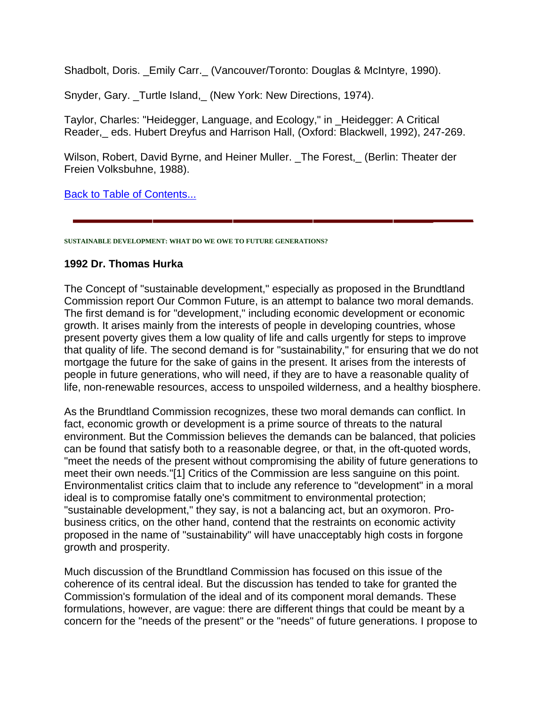Shadbolt, Doris. \_Emily Carr.\_ (Vancouver/Toronto: Douglas & McIntyre, 1990).

Snyder, Gary. Turtle Island, (New York: New Directions, 1974).

Taylor, Charles: "Heidegger, Language, and Ecology," in \_Heidegger: A Critical Reader,\_ eds. Hubert Dreyfus and Harrison Hall, (Oxford: Blackwell, 1992), 247-269.

Wilson, Robert, David Byrne, and Heiner Muller. The Forest, (Berlin: Theater der Freien Volksbuhne, 1988).

Back to Table of Contents...

**SUSTAINABLE DEVELOPMENT: WHAT DO WE OWE TO FUTURE GENERATIONS?**

#### **1992 Dr. Thomas Hurka**

The Concept of "sustainable development," especially as proposed in the Brundtland Commission report Our Common Future, is an attempt to balance two moral demands. The first demand is for "development," including economic development or economic growth. It arises mainly from the interests of people in developing countries, whose present poverty gives them a low quality of life and calls urgently for steps to improve that quality of life. The second demand is for "sustainability," for ensuring that we do not mortgage the future for the sake of gains in the present. It arises from the interests of people in future generations, who will need, if they are to have a reasonable quality of life, non-renewable resources, access to unspoiled wilderness, and a healthy biosphere.

As the Brundtland Commission recognizes, these two moral demands can conflict. In fact, economic growth or development is a prime source of threats to the natural environment. But the Commission believes the demands can be balanced, that policies can be found that satisfy both to a reasonable degree, or that, in the oft-quoted words, "meet the needs of the present without compromising the ability of future generations to meet their own needs."[1] Critics of the Commission are less sanguine on this point. Environmentalist critics claim that to include any reference to "development" in a moral ideal is to compromise fatally one's commitment to environmental protection; "sustainable development," they say, is not a balancing act, but an oxymoron. Probusiness critics, on the other hand, contend that the restraints on economic activity proposed in the name of "sustainability" will have unacceptably high costs in forgone growth and prosperity.

Much discussion of the Brundtland Commission has focused on this issue of the coherence of its central ideal. But the discussion has tended to take for granted the Commission's formulation of the ideal and of its component moral demands. These formulations, however, are vague: there are different things that could be meant by a concern for the "needs of the present" or the "needs" of future generations. I propose to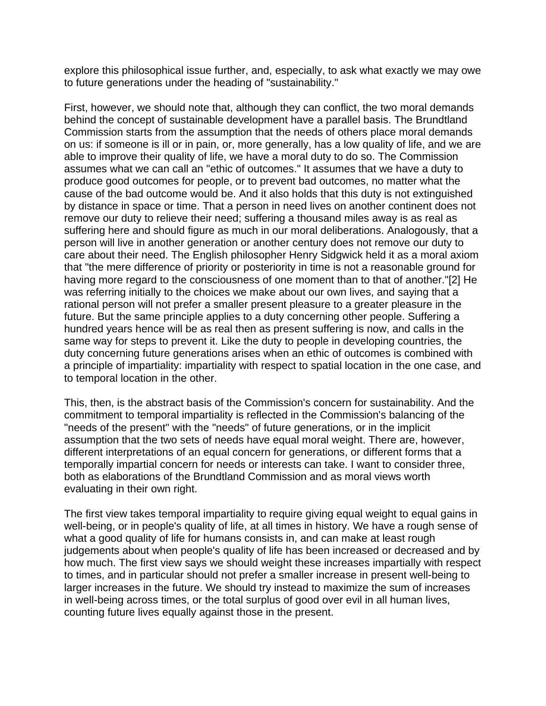explore this philosophical issue further, and, especially, to ask what exactly we may owe to future generations under the heading of "sustainability."

First, however, we should note that, although they can conflict, the two moral demands behind the concept of sustainable development have a parallel basis. The Brundtland Commission starts from the assumption that the needs of others place moral demands on us: if someone is ill or in pain, or, more generally, has a low quality of life, and we are able to improve their quality of life, we have a moral duty to do so. The Commission assumes what we can call an "ethic of outcomes." It assumes that we have a duty to produce good outcomes for people, or to prevent bad outcomes, no matter what the cause of the bad outcome would be. And it also holds that this duty is not extinguished by distance in space or time. That a person in need lives on another continent does not remove our duty to relieve their need; suffering a thousand miles away is as real as suffering here and should figure as much in our moral deliberations. Analogously, that a person will live in another generation or another century does not remove our duty to care about their need. The English philosopher Henry Sidgwick held it as a moral axiom that "the mere difference of priority or posteriority in time is not a reasonable ground for having more regard to the consciousness of one moment than to that of another."[2] He was referring initially to the choices we make about our own lives, and saying that a rational person will not prefer a smaller present pleasure to a greater pleasure in the future. But the same principle applies to a duty concerning other people. Suffering a hundred years hence will be as real then as present suffering is now, and calls in the same way for steps to prevent it. Like the duty to people in developing countries, the duty concerning future generations arises when an ethic of outcomes is combined with a principle of impartiality: impartiality with respect to spatial location in the one case, and to temporal location in the other.

This, then, is the abstract basis of the Commission's concern for sustainability. And the commitment to temporal impartiality is reflected in the Commission's balancing of the "needs of the present" with the "needs" of future generations, or in the implicit assumption that the two sets of needs have equal moral weight. There are, however, different interpretations of an equal concern for generations, or different forms that a temporally impartial concern for needs or interests can take. I want to consider three, both as elaborations of the Brundtland Commission and as moral views worth evaluating in their own right.

The first view takes temporal impartiality to require giving equal weight to equal gains in well-being, or in people's quality of life, at all times in history. We have a rough sense of what a good quality of life for humans consists in, and can make at least rough judgements about when people's quality of life has been increased or decreased and by how much. The first view says we should weight these increases impartially with respect to times, and in particular should not prefer a smaller increase in present well-being to larger increases in the future. We should try instead to maximize the sum of increases in well-being across times, or the total surplus of good over evil in all human lives, counting future lives equally against those in the present.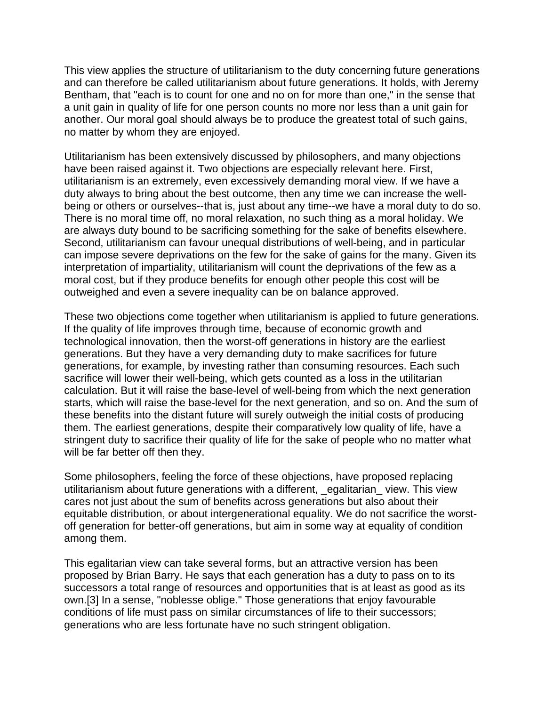This view applies the structure of utilitarianism to the duty concerning future generations and can therefore be called utilitarianism about future generations. It holds, with Jeremy Bentham, that "each is to count for one and no on for more than one," in the sense that a unit gain in quality of life for one person counts no more nor less than a unit gain for another. Our moral goal should always be to produce the greatest total of such gains, no matter by whom they are enjoyed.

Utilitarianism has been extensively discussed by philosophers, and many objections have been raised against it. Two objections are especially relevant here. First, utilitarianism is an extremely, even excessively demanding moral view. If we have a duty always to bring about the best outcome, then any time we can increase the wellbeing or others or ourselves--that is, just about any time--we have a moral duty to do so. There is no moral time off, no moral relaxation, no such thing as a moral holiday. We are always duty bound to be sacrificing something for the sake of benefits elsewhere. Second, utilitarianism can favour unequal distributions of well-being, and in particular can impose severe deprivations on the few for the sake of gains for the many. Given its interpretation of impartiality, utilitarianism will count the deprivations of the few as a moral cost, but if they produce benefits for enough other people this cost will be outweighed and even a severe inequality can be on balance approved.

These two objections come together when utilitarianism is applied to future generations. If the quality of life improves through time, because of economic growth and technological innovation, then the worst-off generations in history are the earliest generations. But they have a very demanding duty to make sacrifices for future generations, for example, by investing rather than consuming resources. Each such sacrifice will lower their well-being, which gets counted as a loss in the utilitarian calculation. But it will raise the base-level of well-being from which the next generation starts, which will raise the base-level for the next generation, and so on. And the sum of these benefits into the distant future will surely outweigh the initial costs of producing them. The earliest generations, despite their comparatively low quality of life, have a stringent duty to sacrifice their quality of life for the sake of people who no matter what will be far better off then they.

Some philosophers, feeling the force of these objections, have proposed replacing utilitarianism about future generations with a different, \_egalitarian\_ view. This view cares not just about the sum of benefits across generations but also about their equitable distribution, or about intergenerational equality. We do not sacrifice the worstoff generation for better-off generations, but aim in some way at equality of condition among them.

This egalitarian view can take several forms, but an attractive version has been proposed by Brian Barry. He says that each generation has a duty to pass on to its successors a total range of resources and opportunities that is at least as good as its own.[3] In a sense, "noblesse oblige." Those generations that enjoy favourable conditions of life must pass on similar circumstances of life to their successors; generations who are less fortunate have no such stringent obligation.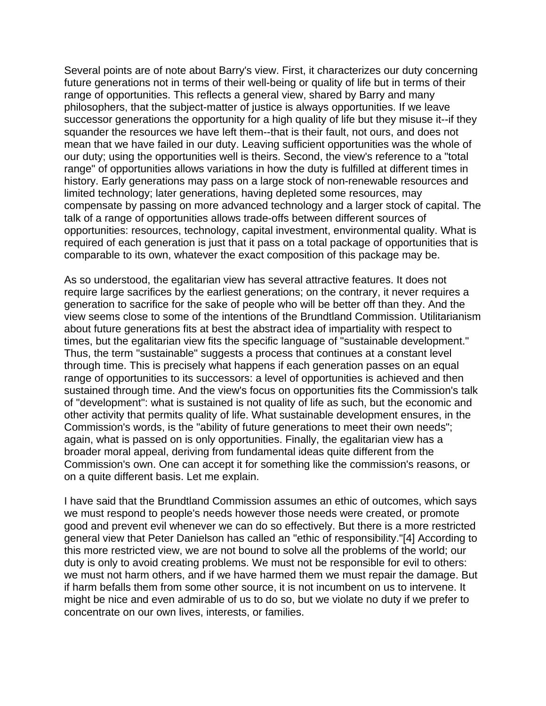Several points are of note about Barry's view. First, it characterizes our duty concerning future generations not in terms of their well-being or quality of life but in terms of their range of opportunities. This reflects a general view, shared by Barry and many philosophers, that the subject-matter of justice is always opportunities. If we leave successor generations the opportunity for a high quality of life but they misuse it--if they squander the resources we have left them--that is their fault, not ours, and does not mean that we have failed in our duty. Leaving sufficient opportunities was the whole of our duty; using the opportunities well is theirs. Second, the view's reference to a "total range" of opportunities allows variations in how the duty is fulfilled at different times in history. Early generations may pass on a large stock of non-renewable resources and limited technology; later generations, having depleted some resources, may compensate by passing on more advanced technology and a larger stock of capital. The talk of a range of opportunities allows trade-offs between different sources of opportunities: resources, technology, capital investment, environmental quality. What is required of each generation is just that it pass on a total package of opportunities that is comparable to its own, whatever the exact composition of this package may be.

As so understood, the egalitarian view has several attractive features. It does not require large sacrifices by the earliest generations; on the contrary, it never requires a generation to sacrifice for the sake of people who will be better off than they. And the view seems close to some of the intentions of the Brundtland Commission. Utilitarianism about future generations fits at best the abstract idea of impartiality with respect to times, but the egalitarian view fits the specific language of "sustainable development." Thus, the term "sustainable" suggests a process that continues at a constant level through time. This is precisely what happens if each generation passes on an equal range of opportunities to its successors: a level of opportunities is achieved and then sustained through time. And the view's focus on opportunities fits the Commission's talk of "development": what is sustained is not quality of life as such, but the economic and other activity that permits quality of life. What sustainable development ensures, in the Commission's words, is the "ability of future generations to meet their own needs"; again, what is passed on is only opportunities. Finally, the egalitarian view has a broader moral appeal, deriving from fundamental ideas quite different from the Commission's own. One can accept it for something like the commission's reasons, or on a quite different basis. Let me explain.

I have said that the Brundtland Commission assumes an ethic of outcomes, which says we must respond to people's needs however those needs were created, or promote good and prevent evil whenever we can do so effectively. But there is a more restricted general view that Peter Danielson has called an "ethic of responsibility."[4] According to this more restricted view, we are not bound to solve all the problems of the world; our duty is only to avoid creating problems. We must not be responsible for evil to others: we must not harm others, and if we have harmed them we must repair the damage. But if harm befalls them from some other source, it is not incumbent on us to intervene. It might be nice and even admirable of us to do so, but we violate no duty if we prefer to concentrate on our own lives, interests, or families.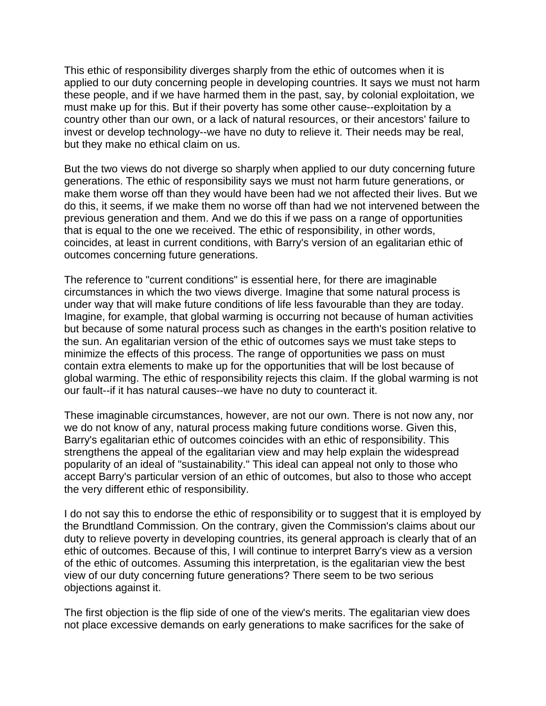This ethic of responsibility diverges sharply from the ethic of outcomes when it is applied to our duty concerning people in developing countries. It says we must not harm these people, and if we have harmed them in the past, say, by colonial exploitation, we must make up for this. But if their poverty has some other cause--exploitation by a country other than our own, or a lack of natural resources, or their ancestors' failure to invest or develop technology--we have no duty to relieve it. Their needs may be real, but they make no ethical claim on us.

But the two views do not diverge so sharply when applied to our duty concerning future generations. The ethic of responsibility says we must not harm future generations, or make them worse off than they would have been had we not affected their lives. But we do this, it seems, if we make them no worse off than had we not intervened between the previous generation and them. And we do this if we pass on a range of opportunities that is equal to the one we received. The ethic of responsibility, in other words, coincides, at least in current conditions, with Barry's version of an egalitarian ethic of outcomes concerning future generations.

The reference to "current conditions" is essential here, for there are imaginable circumstances in which the two views diverge. Imagine that some natural process is under way that will make future conditions of life less favourable than they are today. Imagine, for example, that global warming is occurring not because of human activities but because of some natural process such as changes in the earth's position relative to the sun. An egalitarian version of the ethic of outcomes says we must take steps to minimize the effects of this process. The range of opportunities we pass on must contain extra elements to make up for the opportunities that will be lost because of global warming. The ethic of responsibility rejects this claim. If the global warming is not our fault--if it has natural causes--we have no duty to counteract it.

These imaginable circumstances, however, are not our own. There is not now any, nor we do not know of any, natural process making future conditions worse. Given this, Barry's egalitarian ethic of outcomes coincides with an ethic of responsibility. This strengthens the appeal of the egalitarian view and may help explain the widespread popularity of an ideal of "sustainability." This ideal can appeal not only to those who accept Barry's particular version of an ethic of outcomes, but also to those who accept the very different ethic of responsibility.

I do not say this to endorse the ethic of responsibility or to suggest that it is employed by the Brundtland Commission. On the contrary, given the Commission's claims about our duty to relieve poverty in developing countries, its general approach is clearly that of an ethic of outcomes. Because of this, I will continue to interpret Barry's view as a version of the ethic of outcomes. Assuming this interpretation, is the egalitarian view the best view of our duty concerning future generations? There seem to be two serious objections against it.

The first objection is the flip side of one of the view's merits. The egalitarian view does not place excessive demands on early generations to make sacrifices for the sake of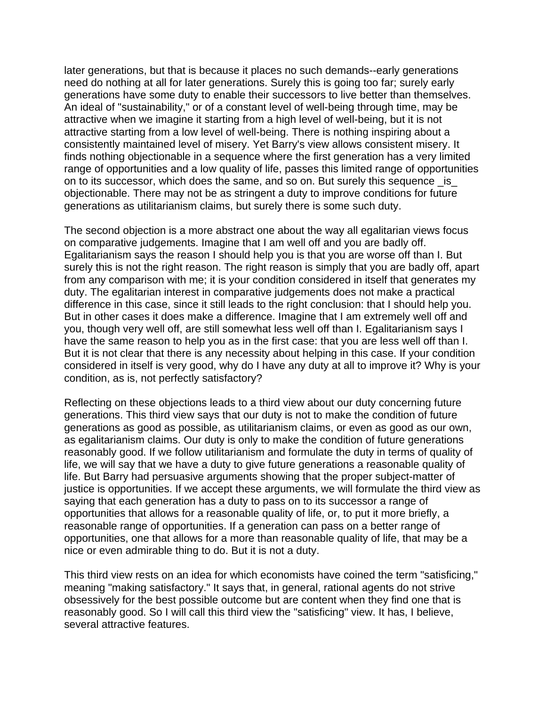later generations, but that is because it places no such demands--early generations need do nothing at all for later generations. Surely this is going too far; surely early generations have some duty to enable their successors to live better than themselves. An ideal of "sustainability," or of a constant level of well-being through time, may be attractive when we imagine it starting from a high level of well-being, but it is not attractive starting from a low level of well-being. There is nothing inspiring about a consistently maintained level of misery. Yet Barry's view allows consistent misery. It finds nothing objectionable in a sequence where the first generation has a very limited range of opportunities and a low quality of life, passes this limited range of opportunities on to its successor, which does the same, and so on. But surely this sequence \_is\_ objectionable. There may not be as stringent a duty to improve conditions for future generations as utilitarianism claims, but surely there is some such duty.

The second objection is a more abstract one about the way all egalitarian views focus on comparative judgements. Imagine that I am well off and you are badly off. Egalitarianism says the reason I should help you is that you are worse off than I. But surely this is not the right reason. The right reason is simply that you are badly off, apart from any comparison with me; it is your condition considered in itself that generates my duty. The egalitarian interest in comparative judgements does not make a practical difference in this case, since it still leads to the right conclusion: that I should help you. But in other cases it does make a difference. Imagine that I am extremely well off and you, though very well off, are still somewhat less well off than I. Egalitarianism says I have the same reason to help you as in the first case: that you are less well off than I. But it is not clear that there is any necessity about helping in this case. If your condition considered in itself is very good, why do I have any duty at all to improve it? Why is your condition, as is, not perfectly satisfactory?

Reflecting on these objections leads to a third view about our duty concerning future generations. This third view says that our duty is not to make the condition of future generations as good as possible, as utilitarianism claims, or even as good as our own, as egalitarianism claims. Our duty is only to make the condition of future generations reasonably good. If we follow utilitarianism and formulate the duty in terms of quality of life, we will say that we have a duty to give future generations a reasonable quality of life. But Barry had persuasive arguments showing that the proper subject-matter of justice is opportunities. If we accept these arguments, we will formulate the third view as saying that each generation has a duty to pass on to its successor a range of opportunities that allows for a reasonable quality of life, or, to put it more briefly, a reasonable range of opportunities. If a generation can pass on a better range of opportunities, one that allows for a more than reasonable quality of life, that may be a nice or even admirable thing to do. But it is not a duty.

This third view rests on an idea for which economists have coined the term "satisficing," meaning "making satisfactory." It says that, in general, rational agents do not strive obsessively for the best possible outcome but are content when they find one that is reasonably good. So I will call this third view the "satisficing" view. It has, I believe, several attractive features.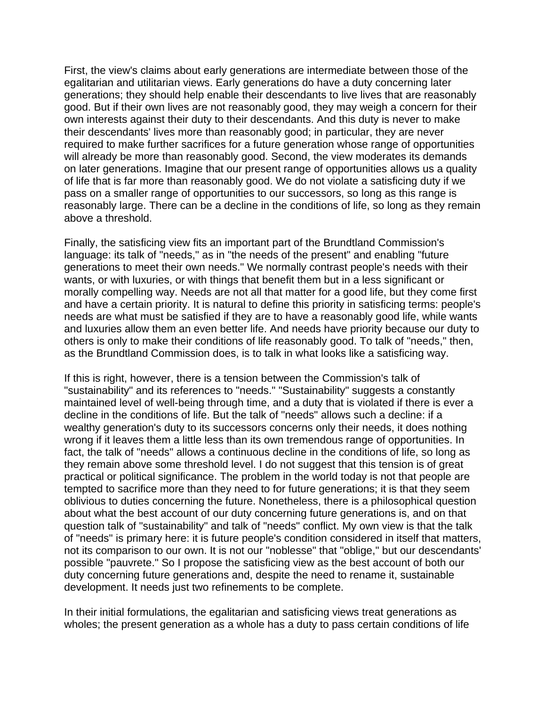First, the view's claims about early generations are intermediate between those of the egalitarian and utilitarian views. Early generations do have a duty concerning later generations; they should help enable their descendants to live lives that are reasonably good. But if their own lives are not reasonably good, they may weigh a concern for their own interests against their duty to their descendants. And this duty is never to make their descendants' lives more than reasonably good; in particular, they are never required to make further sacrifices for a future generation whose range of opportunities will already be more than reasonably good. Second, the view moderates its demands on later generations. Imagine that our present range of opportunities allows us a quality of life that is far more than reasonably good. We do not violate a satisficing duty if we pass on a smaller range of opportunities to our successors, so long as this range is reasonably large. There can be a decline in the conditions of life, so long as they remain above a threshold.

Finally, the satisficing view fits an important part of the Brundtland Commission's language: its talk of "needs," as in "the needs of the present" and enabling "future generations to meet their own needs." We normally contrast people's needs with their wants, or with luxuries, or with things that benefit them but in a less significant or morally compelling way. Needs are not all that matter for a good life, but they come first and have a certain priority. It is natural to define this priority in satisficing terms: people's needs are what must be satisfied if they are to have a reasonably good life, while wants and luxuries allow them an even better life. And needs have priority because our duty to others is only to make their conditions of life reasonably good. To talk of "needs," then, as the Brundtland Commission does, is to talk in what looks like a satisficing way.

If this is right, however, there is a tension between the Commission's talk of "sustainability" and its references to "needs." "Sustainability" suggests a constantly maintained level of well-being through time, and a duty that is violated if there is ever a decline in the conditions of life. But the talk of "needs" allows such a decline: if a wealthy generation's duty to its successors concerns only their needs, it does nothing wrong if it leaves them a little less than its own tremendous range of opportunities. In fact, the talk of "needs" allows a continuous decline in the conditions of life, so long as they remain above some threshold level. I do not suggest that this tension is of great practical or political significance. The problem in the world today is not that people are tempted to sacrifice more than they need to for future generations; it is that they seem oblivious to duties concerning the future. Nonetheless, there is a philosophical question about what the best account of our duty concerning future generations is, and on that question talk of "sustainability" and talk of "needs" conflict. My own view is that the talk of "needs" is primary here: it is future people's condition considered in itself that matters, not its comparison to our own. It is not our "noblesse" that "oblige," but our descendants' possible "pauvrete." So I propose the satisficing view as the best account of both our duty concerning future generations and, despite the need to rename it, sustainable development. It needs just two refinements to be complete.

In their initial formulations, the egalitarian and satisficing views treat generations as wholes; the present generation as a whole has a duty to pass certain conditions of life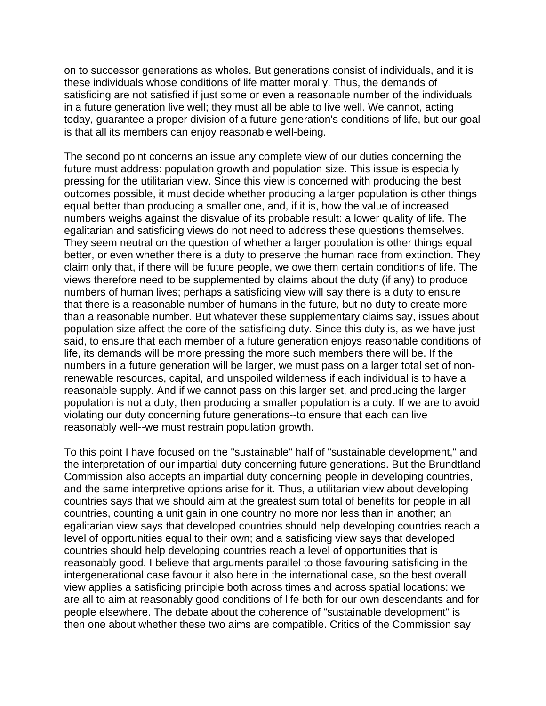on to successor generations as wholes. But generations consist of individuals, and it is these individuals whose conditions of life matter morally. Thus, the demands of satisficing are not satisfied if just some or even a reasonable number of the individuals in a future generation live well; they must all be able to live well. We cannot, acting today, guarantee a proper division of a future generation's conditions of life, but our goal is that all its members can enjoy reasonable well-being.

The second point concerns an issue any complete view of our duties concerning the future must address: population growth and population size. This issue is especially pressing for the utilitarian view. Since this view is concerned with producing the best outcomes possible, it must decide whether producing a larger population is other things equal better than producing a smaller one, and, if it is, how the value of increased numbers weighs against the disvalue of its probable result: a lower quality of life. The egalitarian and satisficing views do not need to address these questions themselves. They seem neutral on the question of whether a larger population is other things equal better, or even whether there is a duty to preserve the human race from extinction. They claim only that, if there will be future people, we owe them certain conditions of life. The views therefore need to be supplemented by claims about the duty (if any) to produce numbers of human lives; perhaps a satisficing view will say there is a duty to ensure that there is a reasonable number of humans in the future, but no duty to create more than a reasonable number. But whatever these supplementary claims say, issues about population size affect the core of the satisficing duty. Since this duty is, as we have just said, to ensure that each member of a future generation enjoys reasonable conditions of life, its demands will be more pressing the more such members there will be. If the numbers in a future generation will be larger, we must pass on a larger total set of nonrenewable resources, capital, and unspoiled wilderness if each individual is to have a reasonable supply. And if we cannot pass on this larger set, and producing the larger population is not a duty, then producing a smaller population is a duty. If we are to avoid violating our duty concerning future generations--to ensure that each can live reasonably well--we must restrain population growth.

To this point I have focused on the "sustainable" half of "sustainable development," and the interpretation of our impartial duty concerning future generations. But the Brundtland Commission also accepts an impartial duty concerning people in developing countries, and the same interpretive options arise for it. Thus, a utilitarian view about developing countries says that we should aim at the greatest sum total of benefits for people in all countries, counting a unit gain in one country no more nor less than in another; an egalitarian view says that developed countries should help developing countries reach a level of opportunities equal to their own; and a satisficing view says that developed countries should help developing countries reach a level of opportunities that is reasonably good. I believe that arguments parallel to those favouring satisficing in the intergenerational case favour it also here in the international case, so the best overall view applies a satisficing principle both across times and across spatial locations: we are all to aim at reasonably good conditions of life both for our own descendants and for people elsewhere. The debate about the coherence of "sustainable development" is then one about whether these two aims are compatible. Critics of the Commission say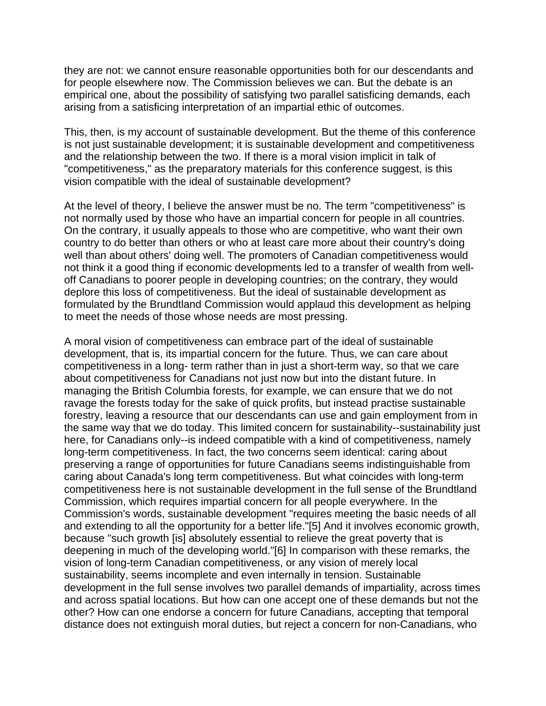they are not: we cannot ensure reasonable opportunities both for our descendants and for people elsewhere now. The Commission believes we can. But the debate is an empirical one, about the possibility of satisfying two parallel satisficing demands, each arising from a satisficing interpretation of an impartial ethic of outcomes.

This, then, is my account of sustainable development. But the theme of this conference is not just sustainable development; it is sustainable development and competitiveness and the relationship between the two. If there is a moral vision implicit in talk of "competitiveness," as the preparatory materials for this conference suggest, is this vision compatible with the ideal of sustainable development?

At the level of theory, I believe the answer must be no. The term "competitiveness" is not normally used by those who have an impartial concern for people in all countries. On the contrary, it usually appeals to those who are competitive, who want their own country to do better than others or who at least care more about their country's doing well than about others' doing well. The promoters of Canadian competitiveness would not think it a good thing if economic developments led to a transfer of wealth from welloff Canadians to poorer people in developing countries; on the contrary, they would deplore this loss of competitiveness. But the ideal of sustainable development as formulated by the Brundtland Commission would applaud this development as helping to meet the needs of those whose needs are most pressing.

A moral vision of competitiveness can embrace part of the ideal of sustainable development, that is, its impartial concern for the future. Thus, we can care about competitiveness in a long- term rather than in just a short-term way, so that we care about competitiveness for Canadians not just now but into the distant future. In managing the British Columbia forests, for example, we can ensure that we do not ravage the forests today for the sake of quick profits, but instead practise sustainable forestry, leaving a resource that our descendants can use and gain employment from in the same way that we do today. This limited concern for sustainability--sustainability just here, for Canadians only--is indeed compatible with a kind of competitiveness, namely long-term competitiveness. In fact, the two concerns seem identical: caring about preserving a range of opportunities for future Canadians seems indistinguishable from caring about Canada's long term competitiveness. But what coincides with long-term competitiveness here is not sustainable development in the full sense of the Brundtland Commission, which requires impartial concern for all people everywhere. In the Commission's words, sustainable development "requires meeting the basic needs of all and extending to all the opportunity for a better life."[5] And it involves economic growth, because "such growth [is] absolutely essential to relieve the great poverty that is deepening in much of the developing world."[6] In comparison with these remarks, the vision of long-term Canadian competitiveness, or any vision of merely local sustainability, seems incomplete and even internally in tension. Sustainable development in the full sense involves two parallel demands of impartiality, across times and across spatial locations. But how can one accept one of these demands but not the other? How can one endorse a concern for future Canadians, accepting that temporal distance does not extinguish moral duties, but reject a concern for non-Canadians, who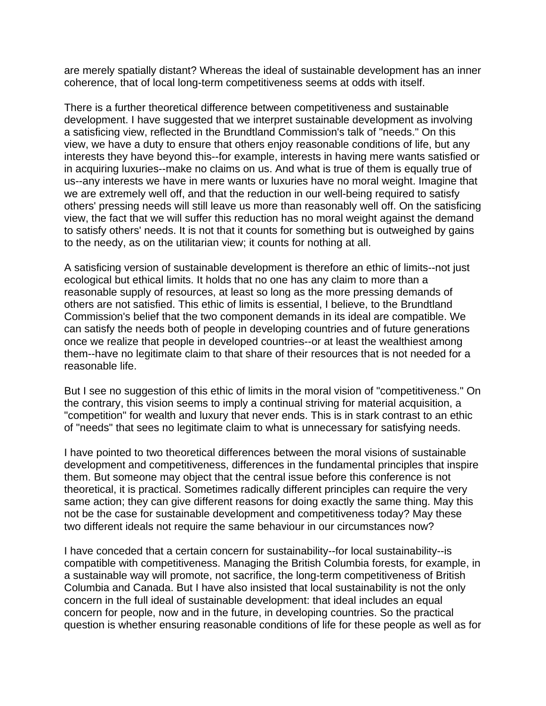are merely spatially distant? Whereas the ideal of sustainable development has an inner coherence, that of local long-term competitiveness seems at odds with itself.

There is a further theoretical difference between competitiveness and sustainable development. I have suggested that we interpret sustainable development as involving a satisficing view, reflected in the Brundtland Commission's talk of "needs." On this view, we have a duty to ensure that others enjoy reasonable conditions of life, but any interests they have beyond this--for example, interests in having mere wants satisfied or in acquiring luxuries--make no claims on us. And what is true of them is equally true of us--any interests we have in mere wants or luxuries have no moral weight. Imagine that we are extremely well off, and that the reduction in our well-being required to satisfy others' pressing needs will still leave us more than reasonably well off. On the satisficing view, the fact that we will suffer this reduction has no moral weight against the demand to satisfy others' needs. It is not that it counts for something but is outweighed by gains to the needy, as on the utilitarian view; it counts for nothing at all.

A satisficing version of sustainable development is therefore an ethic of limits--not just ecological but ethical limits. It holds that no one has any claim to more than a reasonable supply of resources, at least so long as the more pressing demands of others are not satisfied. This ethic of limits is essential, I believe, to the Brundtland Commission's belief that the two component demands in its ideal are compatible. We can satisfy the needs both of people in developing countries and of future generations once we realize that people in developed countries--or at least the wealthiest among them--have no legitimate claim to that share of their resources that is not needed for a reasonable life.

But I see no suggestion of this ethic of limits in the moral vision of "competitiveness." On the contrary, this vision seems to imply a continual striving for material acquisition, a "competition" for wealth and luxury that never ends. This is in stark contrast to an ethic of "needs" that sees no legitimate claim to what is unnecessary for satisfying needs.

I have pointed to two theoretical differences between the moral visions of sustainable development and competitiveness, differences in the fundamental principles that inspire them. But someone may object that the central issue before this conference is not theoretical, it is practical. Sometimes radically different principles can require the very same action; they can give different reasons for doing exactly the same thing. May this not be the case for sustainable development and competitiveness today? May these two different ideals not require the same behaviour in our circumstances now?

I have conceded that a certain concern for sustainability--for local sustainability--is compatible with competitiveness. Managing the British Columbia forests, for example, in a sustainable way will promote, not sacrifice, the long-term competitiveness of British Columbia and Canada. But I have also insisted that local sustainability is not the only concern in the full ideal of sustainable development: that ideal includes an equal concern for people, now and in the future, in developing countries. So the practical question is whether ensuring reasonable conditions of life for these people as well as for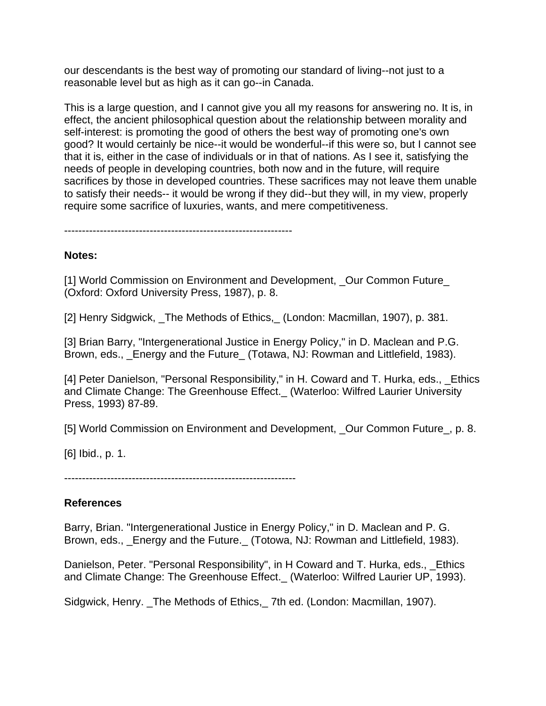our descendants is the best way of promoting our standard of living--not just to a reasonable level but as high as it can go--in Canada.

This is a large question, and I cannot give you all my reasons for answering no. It is, in effect, the ancient philosophical question about the relationship between morality and self-interest: is promoting the good of others the best way of promoting one's own good? It would certainly be nice--it would be wonderful--if this were so, but I cannot see that it is, either in the case of individuals or in that of nations. As I see it, satisfying the needs of people in developing countries, both now and in the future, will require sacrifices by those in developed countries. These sacrifices may not leave them unable to satisfy their needs-- it would be wrong if they did--but they will, in my view, properly require some sacrifice of luxuries, wants, and mere competitiveness.

----------------------------------------------------------------

#### **Notes:**

[1] World Commission on Environment and Development, \_Our Common Future\_ (Oxford: Oxford University Press, 1987), p. 8.

[2] Henry Sidgwick, The Methods of Ethics, (London: Macmillan, 1907), p. 381.

[3] Brian Barry, "Intergenerational Justice in Energy Policy," in D. Maclean and P.G. Brown, eds., \_Energy and the Future\_ (Totawa, NJ: Rowman and Littlefield, 1983).

[4] Peter Danielson, "Personal Responsibility," in H. Coward and T. Hurka, eds., \_Ethics and Climate Change: The Greenhouse Effect.\_ (Waterloo: Wilfred Laurier University Press, 1993) 87-89.

[5] World Commission on Environment and Development, \_Our Common Future\_, p. 8.

[6] Ibid., p. 1.

-----------------------------------------------------------------

#### **References**

Barry, Brian. "Intergenerational Justice in Energy Policy," in D. Maclean and P. G. Brown, eds., Energy and the Future. (Totowa, NJ: Rowman and Littlefield, 1983).

Danielson, Peter. "Personal Responsibility", in H Coward and T. Hurka, eds., \_Ethics and Climate Change: The Greenhouse Effect.\_ (Waterloo: Wilfred Laurier UP, 1993).

Sidgwick, Henry. \_The Methods of Ethics,\_ 7th ed. (London: Macmillan, 1907).